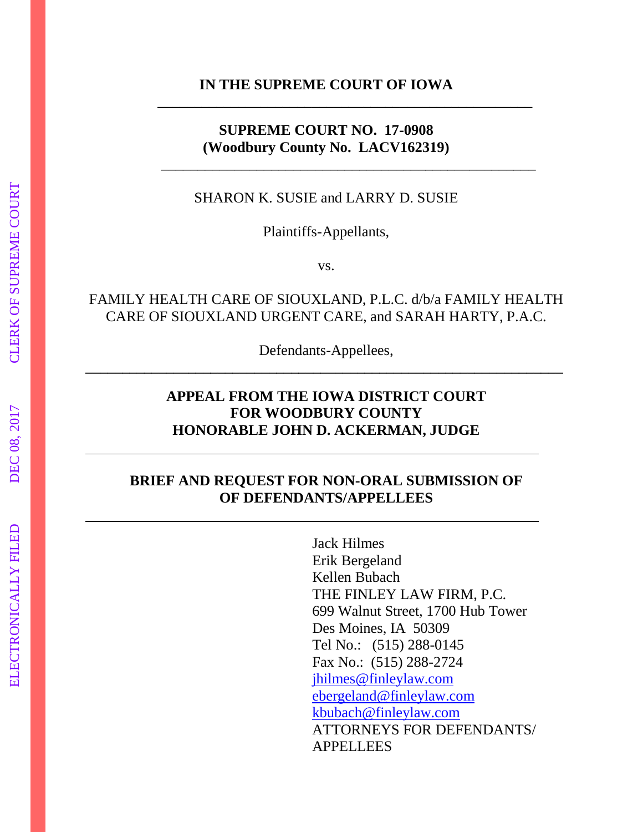**IN THE SUPREME COURT OF IOWA**

**\_\_\_\_\_\_\_\_\_\_\_\_\_\_\_\_\_\_\_\_\_\_\_\_\_\_\_\_\_\_\_\_\_\_\_\_\_\_\_\_\_\_\_\_\_\_\_\_\_\_\_**

\_\_\_\_\_\_\_\_\_\_\_\_\_\_\_\_\_\_\_\_\_\_\_\_\_\_\_\_\_\_\_\_\_\_\_\_\_\_\_\_\_\_\_\_\_\_\_\_\_\_\_

#### **SUPREME COURT NO. 17-0908 (Woodbury County No. LACV162319)**

SHARON K. SUSIE and LARRY D. SUSIE

Plaintiffs-Appellants,

vs.

## FAMILY HEALTH CARE OF SIOUXLAND, P.L.C. d/b/a FAMILY HEALTH CARE OF SIOUXLAND URGENT CARE, and SARAH HARTY, P.A.C.

Defendants-Appellees, **\_\_\_\_\_\_\_\_\_\_\_\_\_\_\_\_\_\_\_\_\_\_\_\_\_\_\_\_\_\_\_\_\_\_\_\_\_\_\_\_\_\_\_\_\_\_\_\_\_\_\_\_\_\_\_\_\_\_\_\_\_\_\_\_\_**

## **APPEAL FROM THE IOWA DISTRICT COURT FOR WOODBURY COUNTY HONORABLE JOHN D. ACKERMAN, JUDGE**

## **BRIEF AND REQUEST FOR NON-ORAL SUBMISSION OF OF DEFENDANTS/APPELLEES**

Jack Hilmes Erik Bergeland Kellen Bubach THE FINLEY LAW FIRM, P.C. 699 Walnut Street, 1700 Hub Tower Des Moines, IA 50309 Tel No.: (515) 288-0145 Fax No.: (515) 288-2724 [jhilmes@finleylaw.com](mailto:jhilmes@finleylaw.com) [ebergeland@finleylaw.com](mailto:ebergeland@finleylaw.com) [kbubach@finleylaw.com](mailto:kbubach@finleylaw.com) ATTORNEYS FOR DEFENDANTS/ APPELLEES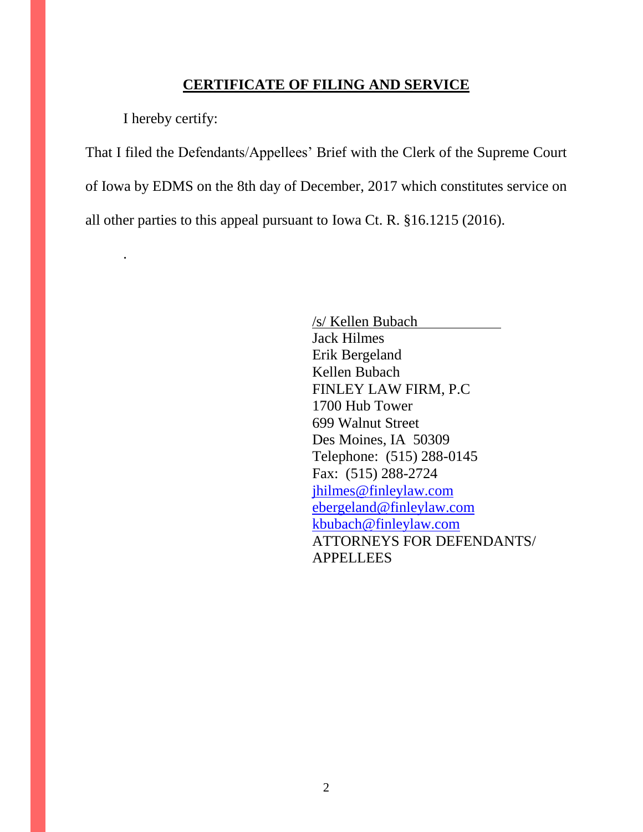#### **CERTIFICATE OF FILING AND SERVICE**

I hereby certify:

.

That I filed the Defendants/Appellees' Brief with the Clerk of the Supreme Court of Iowa by EDMS on the 8th day of December, 2017 which constitutes service on all other parties to this appeal pursuant to Iowa Ct. R. §16.1215 (2016).

> /s/ Kellen Bubach Jack Hilmes Erik Bergeland Kellen Bubach FINLEY LAW FIRM, P.C 1700 Hub Tower 699 Walnut Street Des Moines, IA 50309 Telephone: (515) 288-0145 Fax: (515) 288-2724 [jhilmes@finleylaw.com](mailto:jhilmes@finleylaw.com) [ebergeland@finleylaw.com](mailto:ebergeland@finleylaw.com) [kbubach@finleylaw.com](mailto:kbubach@finleylaw.com) ATTORNEYS FOR DEFENDANTS/ APPELLEES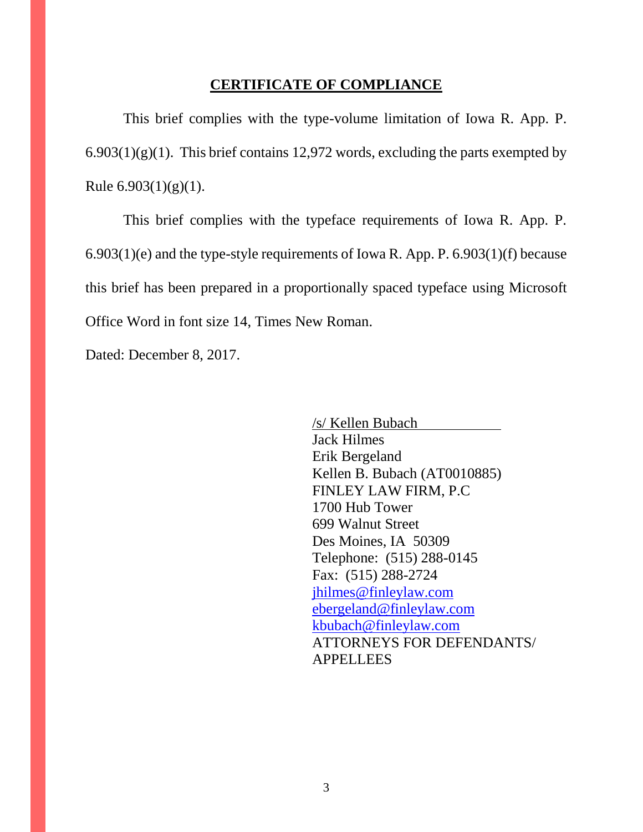#### **CERTIFICATE OF COMPLIANCE**

This brief complies with the type-volume limitation of Iowa R. App. P.  $6.903(1)(g)(1)$ . This brief contains 12,972 words, excluding the parts exempted by Rule  $6.903(1)(g)(1)$ .

This brief complies with the typeface requirements of Iowa R. App. P. 6.903(1)(e) and the type-style requirements of Iowa R. App. P. 6.903(1)(f) because this brief has been prepared in a proportionally spaced typeface using Microsoft Office Word in font size 14, Times New Roman.

Dated: December 8, 2017.

/s/ Kellen Bubach Jack Hilmes Erik Bergeland Kellen B. Bubach (AT0010885) FINLEY LAW FIRM, P.C 1700 Hub Tower 699 Walnut Street Des Moines, IA 50309 Telephone: (515) 288-0145 Fax: (515) 288-2724 [jhilmes@finleylaw.com](mailto:jhilmes@finleylaw.com) [ebergeland@finleylaw.com](mailto:ebergeland@finleylaw.com) [kbubach@finleylaw.com](mailto:kbubach@finleylaw.com) ATTORNEYS FOR DEFENDANTS/ APPELLEES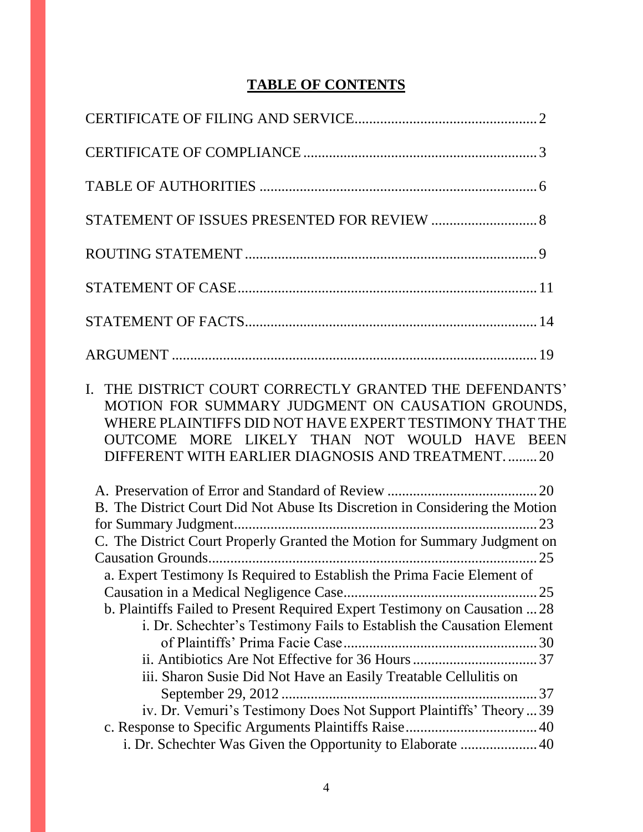## **TABLE OF CONTENTS**

| STATEMENT OF ISSUES PRESENTED FOR REVIEW  8                                                                                                                                                                                                                                 |
|-----------------------------------------------------------------------------------------------------------------------------------------------------------------------------------------------------------------------------------------------------------------------------|
|                                                                                                                                                                                                                                                                             |
|                                                                                                                                                                                                                                                                             |
|                                                                                                                                                                                                                                                                             |
|                                                                                                                                                                                                                                                                             |
| I. THE DISTRICT COURT CORRECTLY GRANTED THE DEFENDANTS'<br>MOTION FOR SUMMARY JUDGMENT ON CAUSATION GROUNDS,<br>WHERE PLAINTIFFS DID NOT HAVE EXPERT TESTIMONY THAT THE<br>OUTCOME MORE LIKELY THAN NOT WOULD HAVE BEEN<br>DIFFERENT WITH EARLIER DIAGNOSIS AND TREATMENT20 |
| B. The District Court Did Not Abuse Its Discretion in Considering the Motion                                                                                                                                                                                                |
|                                                                                                                                                                                                                                                                             |
| C. The District Court Properly Granted the Motion for Summary Judgment on                                                                                                                                                                                                   |
|                                                                                                                                                                                                                                                                             |
| a. Expert Testimony Is Required to Establish the Prima Facie Element of                                                                                                                                                                                                     |
| b. Plaintiffs Failed to Present Required Expert Testimony on Causation  28                                                                                                                                                                                                  |
| i. Dr. Schechter's Testimony Fails to Establish the Causation Element                                                                                                                                                                                                       |
|                                                                                                                                                                                                                                                                             |
|                                                                                                                                                                                                                                                                             |
| iii. Sharon Susie Did Not Have an Easily Treatable Cellulitis on                                                                                                                                                                                                            |
|                                                                                                                                                                                                                                                                             |
| iv. Dr. Vemuri's Testimony Does Not Support Plaintiffs' Theory  39                                                                                                                                                                                                          |
|                                                                                                                                                                                                                                                                             |
| i. Dr. Schechter Was Given the Opportunity to Elaborate  40                                                                                                                                                                                                                 |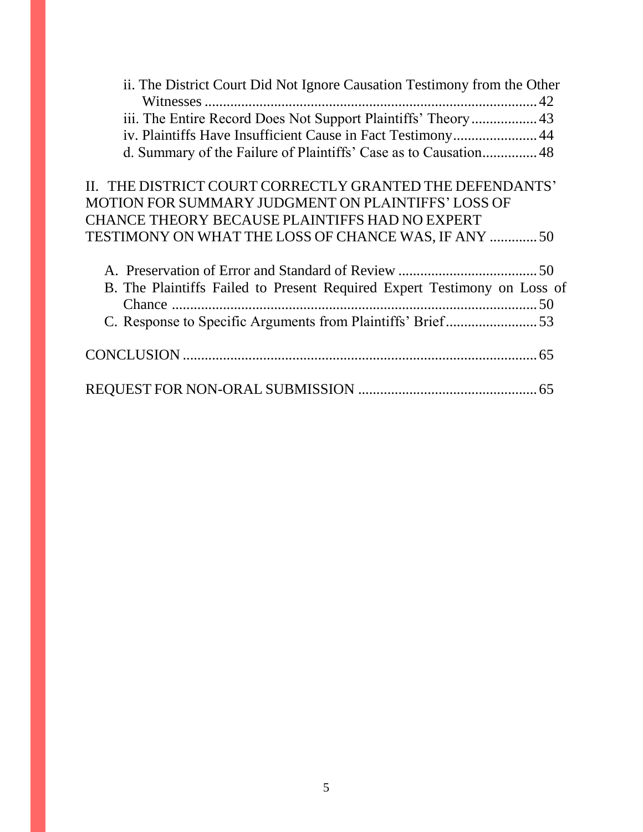| ii. The District Court Did Not Ignore Causation Testimony from the Other |
|--------------------------------------------------------------------------|
|                                                                          |
|                                                                          |
| iv. Plaintiffs Have Insufficient Cause in Fact Testimony 44              |
| d. Summary of the Failure of Plaintiffs' Case as to Causation 48         |
| II. THE DISTRICT COURT CORRECTLY GRANTED THE DEFENDANTS'                 |
| MOTION FOR SUMMARY JUDGMENT ON PLAINTIFFS' LOSS OF                       |
| <b>CHANCE THEORY BECAUSE PLAINTIFFS HAD NO EXPERT</b>                    |
| TESTIMONY ON WHAT THE LOSS OF CHANCE WAS, IF ANY  50                     |
|                                                                          |
| B. The Plaintiffs Failed to Present Required Expert Testimony on Loss of |
|                                                                          |
|                                                                          |
|                                                                          |
|                                                                          |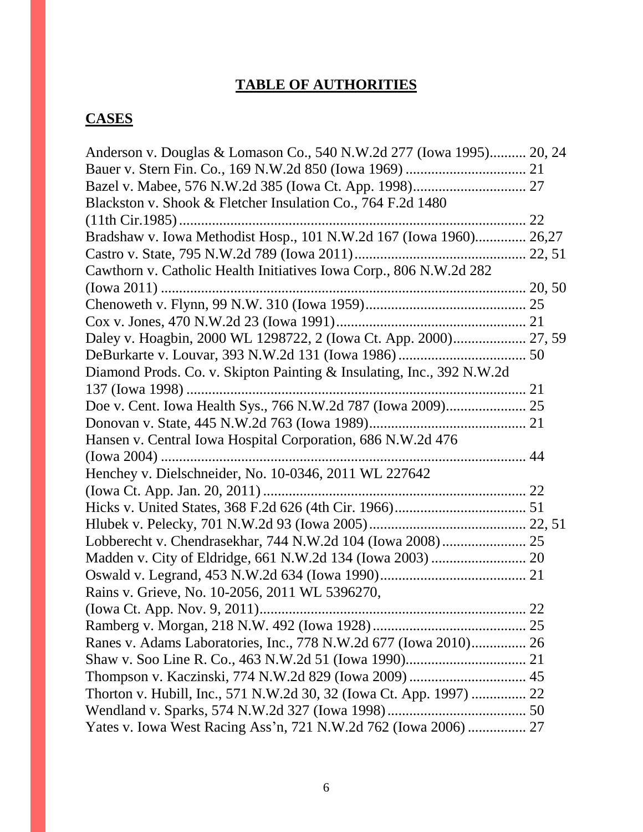# **TABLE OF AUTHORITIES**

# **CASES**

| Anderson v. Douglas & Lomason Co., 540 N.W.2d 277 (Iowa 1995) 20, 24  |  |
|-----------------------------------------------------------------------|--|
|                                                                       |  |
|                                                                       |  |
| Blackston v. Shook & Fletcher Insulation Co., 764 F.2d 1480           |  |
|                                                                       |  |
| Bradshaw v. Iowa Methodist Hosp., 101 N.W.2d 167 (Iowa 1960) 26,27    |  |
|                                                                       |  |
| Cawthorn v. Catholic Health Initiatives Iowa Corp., 806 N.W.2d 282    |  |
|                                                                       |  |
|                                                                       |  |
|                                                                       |  |
| Daley v. Hoagbin, 2000 WL 1298722, 2 (Iowa Ct. App. 2000) 27, 59      |  |
|                                                                       |  |
| Diamond Prods. Co. v. Skipton Painting & Insulating, Inc., 392 N.W.2d |  |
|                                                                       |  |
|                                                                       |  |
|                                                                       |  |
| Hansen v. Central Iowa Hospital Corporation, 686 N.W.2d 476           |  |
|                                                                       |  |
| Henchey v. Dielschneider, No. 10-0346, 2011 WL 227642                 |  |
|                                                                       |  |
|                                                                       |  |
|                                                                       |  |
|                                                                       |  |
|                                                                       |  |
|                                                                       |  |
| Rains v. Grieve, No. 10-2056, 2011 WL 5396270,                        |  |
|                                                                       |  |
|                                                                       |  |
| Ranes v. Adams Laboratories, Inc., 778 N.W.2d 677 (Iowa 2010) 26      |  |
|                                                                       |  |
|                                                                       |  |
| Thorton v. Hubill, Inc., 571 N.W.2d 30, 32 (Iowa Ct. App. 1997)  22   |  |
|                                                                       |  |
| Yates v. Iowa West Racing Ass'n, 721 N.W.2d 762 (Iowa 2006)  27       |  |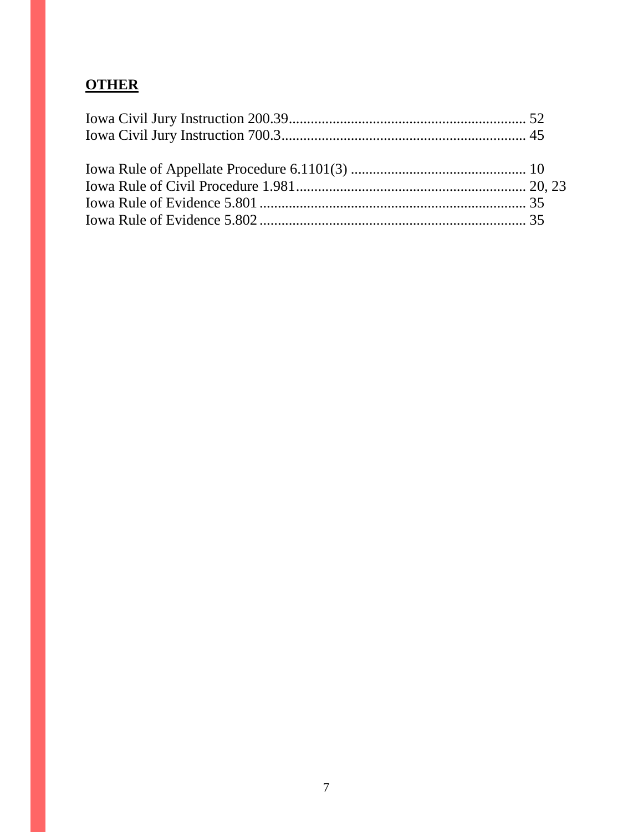# **OTHER**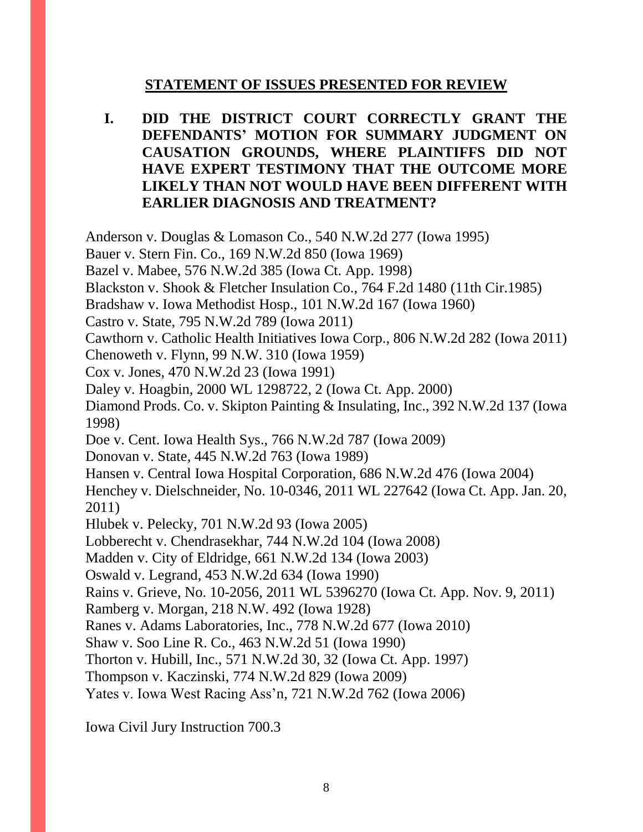## **STATEMENT OF ISSUES PRESENTED FOR REVIEW**

**I. DID THE DISTRICT COURT CORRECTLY GRANT THE DEFENDANTS' MOTION FOR SUMMARY JUDGMENT ON CAUSATION GROUNDS, WHERE PLAINTIFFS DID NOT HAVE EXPERT TESTIMONY THAT THE OUTCOME MORE LIKELY THAN NOT WOULD HAVE BEEN DIFFERENT WITH EARLIER DIAGNOSIS AND TREATMENT?**

Anderson v. Douglas & Lomason Co., 540 N.W.2d 277 (Iowa 1995)

Bauer v. Stern Fin. Co., 169 N.W.2d 850 (Iowa 1969)

Bazel v. Mabee, 576 N.W.2d 385 (Iowa Ct. App. 1998)

Blackston v. Shook & Fletcher Insulation Co., 764 F.2d 1480 (11th Cir.1985)

Bradshaw v. Iowa Methodist Hosp., 101 N.W.2d 167 (Iowa 1960)

Castro v. State, 795 N.W.2d 789 (Iowa 2011)

Cawthorn v. Catholic Health Initiatives Iowa Corp., 806 N.W.2d 282 (Iowa 2011)

Chenoweth v. Flynn, 99 N.W. 310 (Iowa 1959)

Cox v. Jones, 470 N.W.2d 23 (Iowa 1991)

Daley v. Hoagbin, 2000 WL 1298722, 2 (Iowa Ct. App. 2000)

Diamond Prods. Co. v. Skipton Painting & Insulating, Inc., 392 N.W.2d 137 (Iowa 1998)

Doe v. Cent. Iowa Health Sys., 766 N.W.2d 787 (Iowa 2009)

Donovan v. State, 445 N.W.2d 763 (Iowa 1989)

Hansen v. Central Iowa Hospital Corporation, 686 N.W.2d 476 (Iowa 2004)

Henchey v. Dielschneider, No. 10-0346, 2011 WL 227642 (Iowa Ct. App. Jan. 20, 2011)

Hlubek v. Pelecky, 701 N.W.2d 93 (Iowa 2005)

Lobberecht v. Chendrasekhar, 744 N.W.2d 104 (Iowa 2008)

Madden v. City of Eldridge, 661 N.W.2d 134 (Iowa 2003)

Oswald v. Legrand, 453 N.W.2d 634 (Iowa 1990)

Rains v. Grieve, No. 10-2056, 2011 WL 5396270 (Iowa Ct. App. Nov. 9, 2011)

Ramberg v. Morgan, 218 N.W. 492 (Iowa 1928)

Ranes v. Adams Laboratories, Inc., 778 N.W.2d 677 (Iowa 2010)

Shaw v. Soo Line R. Co., 463 N.W.2d 51 (Iowa 1990)

Thorton v. Hubill, Inc., 571 N.W.2d 30, 32 (Iowa Ct. App. 1997)

Thompson v. Kaczinski, 774 N.W.2d 829 (Iowa 2009)

Yates v. Iowa West Racing Ass'n, 721 N.W.2d 762 (Iowa 2006)

Iowa Civil Jury Instruction 700.3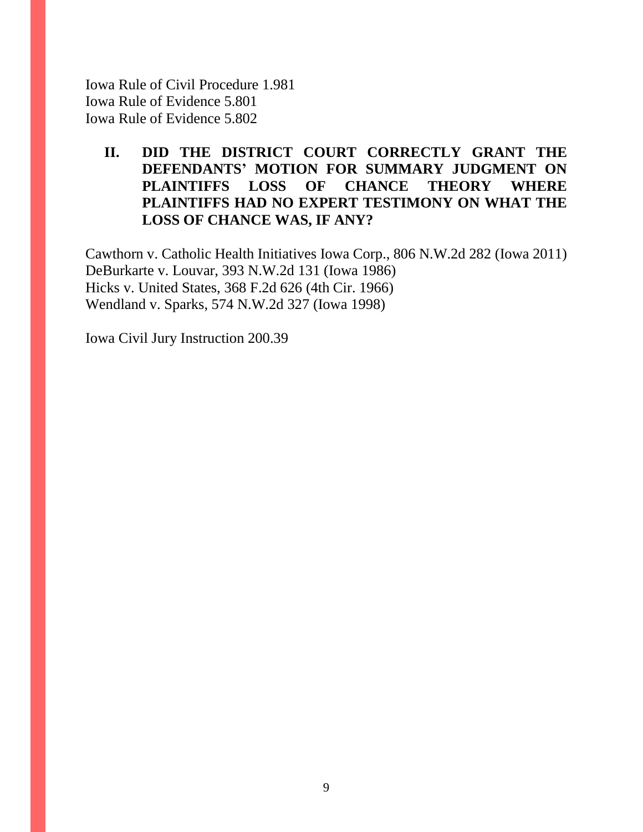Iowa Rule of Civil Procedure 1.981 Iowa Rule of Evidence 5.801 Iowa Rule of Evidence 5.802

## **II. DID THE DISTRICT COURT CORRECTLY GRANT THE DEFENDANTS' MOTION FOR SUMMARY JUDGMENT ON PLAINTIFFS LOSS OF CHANCE THEORY WHERE PLAINTIFFS HAD NO EXPERT TESTIMONY ON WHAT THE LOSS OF CHANCE WAS, IF ANY?**

Cawthorn v. Catholic Health Initiatives Iowa Corp., 806 N.W.2d 282 (Iowa 2011) DeBurkarte v. Louvar, 393 N.W.2d 131 (Iowa 1986) Hicks v. United States, 368 F.2d 626 (4th Cir. 1966) Wendland v. Sparks, 574 N.W.2d 327 (Iowa 1998)

Iowa Civil Jury Instruction 200.39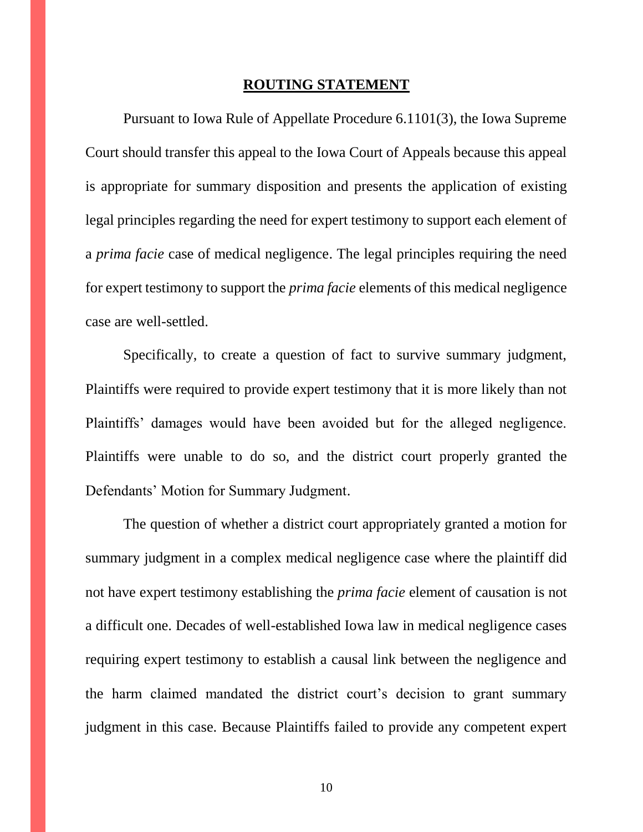#### **ROUTING STATEMENT**

Pursuant to Iowa Rule of Appellate Procedure 6.1101(3), the Iowa Supreme Court should transfer this appeal to the Iowa Court of Appeals because this appeal is appropriate for summary disposition and presents the application of existing legal principles regarding the need for expert testimony to support each element of a *prima facie* case of medical negligence. The legal principles requiring the need for expert testimony to support the *prima facie* elements of this medical negligence case are well-settled.

Specifically, to create a question of fact to survive summary judgment, Plaintiffs were required to provide expert testimony that it is more likely than not Plaintiffs' damages would have been avoided but for the alleged negligence. Plaintiffs were unable to do so, and the district court properly granted the Defendants' Motion for Summary Judgment.

The question of whether a district court appropriately granted a motion for summary judgment in a complex medical negligence case where the plaintiff did not have expert testimony establishing the *prima facie* element of causation is not a difficult one. Decades of well-established Iowa law in medical negligence cases requiring expert testimony to establish a causal link between the negligence and the harm claimed mandated the district court's decision to grant summary judgment in this case. Because Plaintiffs failed to provide any competent expert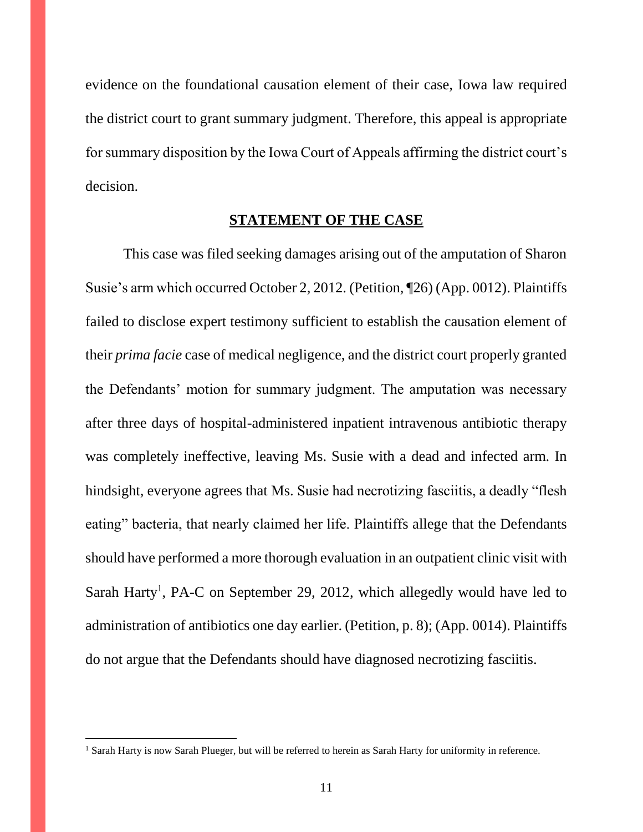evidence on the foundational causation element of their case, Iowa law required the district court to grant summary judgment. Therefore, this appeal is appropriate for summary disposition by the Iowa Court of Appeals affirming the district court's decision.

#### **STATEMENT OF THE CASE**

This case was filed seeking damages arising out of the amputation of Sharon Susie's arm which occurred October 2, 2012. (Petition, ¶26) (App. 0012). Plaintiffs failed to disclose expert testimony sufficient to establish the causation element of their *prima facie* case of medical negligence, and the district court properly granted the Defendants' motion for summary judgment. The amputation was necessary after three days of hospital-administered inpatient intravenous antibiotic therapy was completely ineffective, leaving Ms. Susie with a dead and infected arm. In hindsight, everyone agrees that Ms. Susie had necrotizing fasciitis, a deadly "flesh eating" bacteria, that nearly claimed her life. Plaintiffs allege that the Defendants should have performed a more thorough evaluation in an outpatient clinic visit with Sarah Harty<sup>1</sup>, PA-C on September 29, 2012, which allegedly would have led to administration of antibiotics one day earlier. (Petition, p. 8); (App. 0014). Plaintiffs do not argue that the Defendants should have diagnosed necrotizing fasciitis.

 $\overline{a}$ 

<sup>&</sup>lt;sup>1</sup> Sarah Harty is now Sarah Plueger, but will be referred to herein as Sarah Harty for uniformity in reference.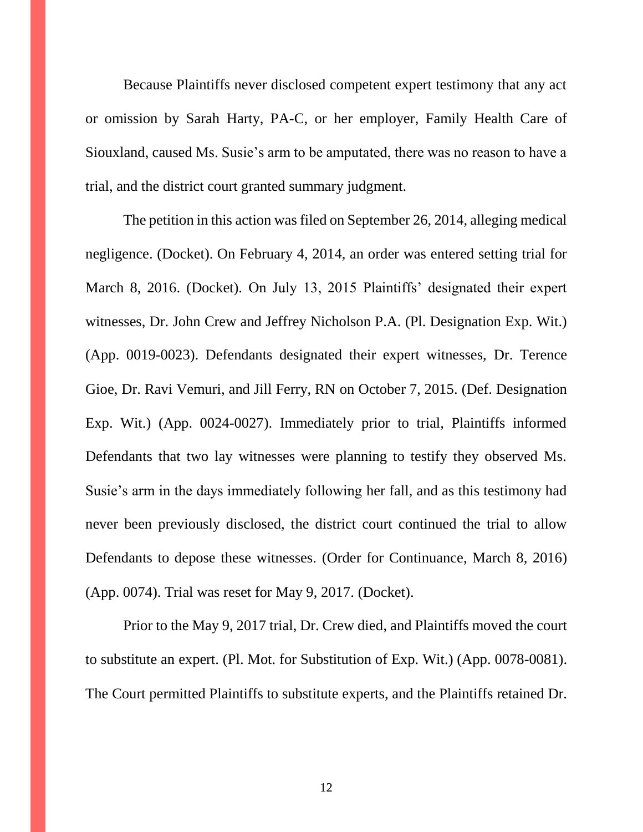Because Plaintiffs never disclosed competent expert testimony that any act or omission by Sarah Harty, PA-C, or her employer, Family Health Care of Siouxland, caused Ms. Susie's arm to be amputated, there was no reason to have a trial, and the district court granted summary judgment.

The petition in this action was filed on September 26, 2014, alleging medical negligence. (Docket). On February 4, 2014, an order was entered setting trial for March 8, 2016. (Docket). On July 13, 2015 Plaintiffs' designated their expert witnesses, Dr. John Crew and Jeffrey Nicholson P.A. (Pl. Designation Exp. Wit.) (App. 0019-0023). Defendants designated their expert witnesses, Dr. Terence Gioe, Dr. Ravi Vemuri, and Jill Ferry, RN on October 7, 2015. (Def. Designation Exp. Wit.) (App. 0024-0027). Immediately prior to trial, Plaintiffs informed Defendants that two lay witnesses were planning to testify they observed Ms. Susie's arm in the days immediately following her fall, and as this testimony had never been previously disclosed, the district court continued the trial to allow Defendants to depose these witnesses. (Order for Continuance, March 8, 2016) (App. 0074). Trial was reset for May 9, 2017. (Docket).

Prior to the May 9, 2017 trial, Dr. Crew died, and Plaintiffs moved the court to substitute an expert. (Pl. Mot. for Substitution of Exp. Wit.) (App. 0078-0081). The Court permitted Plaintiffs to substitute experts, and the Plaintiffs retained Dr.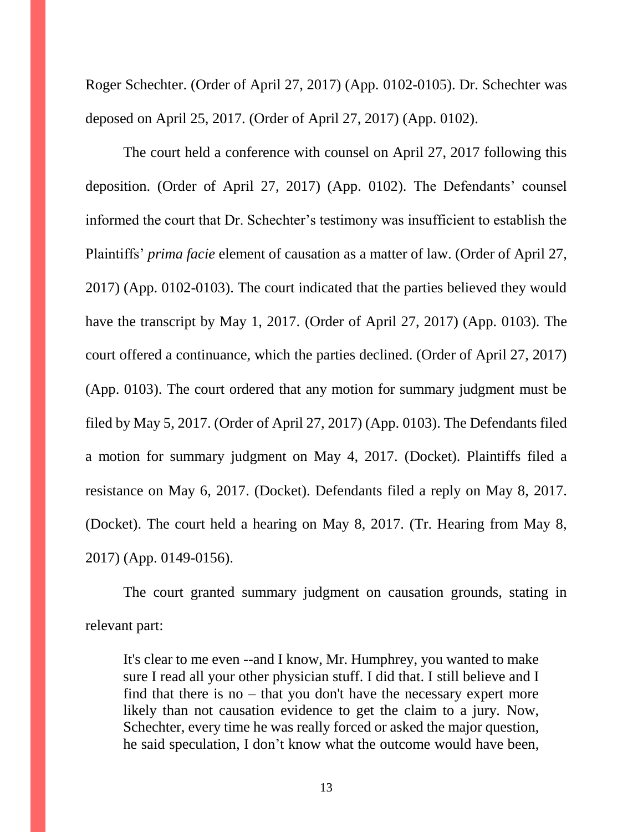Roger Schechter. (Order of April 27, 2017) (App. 0102-0105). Dr. Schechter was deposed on April 25, 2017. (Order of April 27, 2017) (App. 0102).

The court held a conference with counsel on April 27, 2017 following this deposition. (Order of April 27, 2017) (App. 0102). The Defendants' counsel informed the court that Dr. Schechter's testimony was insufficient to establish the Plaintiffs' *prima facie* element of causation as a matter of law. (Order of April 27, 2017) (App. 0102-0103). The court indicated that the parties believed they would have the transcript by May 1, 2017. (Order of April 27, 2017) (App. 0103). The court offered a continuance, which the parties declined. (Order of April 27, 2017) (App. 0103). The court ordered that any motion for summary judgment must be filed by May 5, 2017. (Order of April 27, 2017) (App. 0103). The Defendants filed a motion for summary judgment on May 4, 2017. (Docket). Plaintiffs filed a resistance on May 6, 2017. (Docket). Defendants filed a reply on May 8, 2017. (Docket). The court held a hearing on May 8, 2017. (Tr. Hearing from May 8, 2017) (App. 0149-0156).

The court granted summary judgment on causation grounds, stating in relevant part:

It's clear to me even --and I know, Mr. Humphrey, you wanted to make sure I read all your other physician stuff. I did that. I still believe and I find that there is no – that you don't have the necessary expert more likely than not causation evidence to get the claim to a jury. Now, Schechter, every time he was really forced or asked the major question, he said speculation, I don't know what the outcome would have been,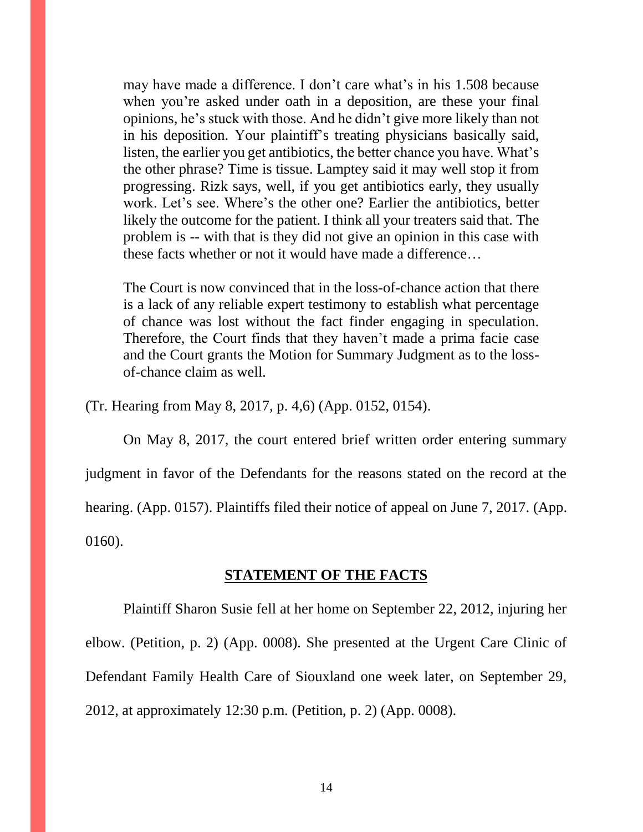may have made a difference. I don't care what's in his 1.508 because when you're asked under oath in a deposition, are these your final opinions, he's stuck with those. And he didn't give more likely than not in his deposition. Your plaintiff's treating physicians basically said, listen, the earlier you get antibiotics, the better chance you have. What's the other phrase? Time is tissue. Lamptey said it may well stop it from progressing. Rizk says, well, if you get antibiotics early, they usually work. Let's see. Where's the other one? Earlier the antibiotics, better likely the outcome for the patient. I think all your treaters said that. The problem is -- with that is they did not give an opinion in this case with these facts whether or not it would have made a difference…

The Court is now convinced that in the loss-of-chance action that there is a lack of any reliable expert testimony to establish what percentage of chance was lost without the fact finder engaging in speculation. Therefore, the Court finds that they haven't made a prima facie case and the Court grants the Motion for Summary Judgment as to the lossof-chance claim as well.

(Tr. Hearing from May 8, 2017, p. 4,6) (App. 0152, 0154).

On May 8, 2017, the court entered brief written order entering summary judgment in favor of the Defendants for the reasons stated on the record at the hearing. (App. 0157). Plaintiffs filed their notice of appeal on June 7, 2017. (App. 0160).

#### **STATEMENT OF THE FACTS**

Plaintiff Sharon Susie fell at her home on September 22, 2012, injuring her elbow. (Petition, p. 2) (App. 0008). She presented at the Urgent Care Clinic of Defendant Family Health Care of Siouxland one week later, on September 29, 2012, at approximately 12:30 p.m. (Petition, p. 2) (App. 0008).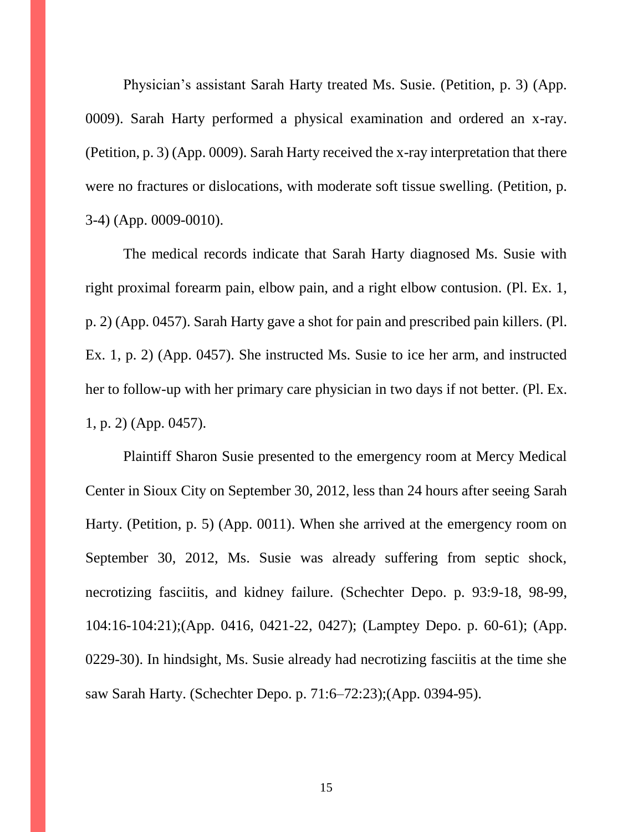Physician's assistant Sarah Harty treated Ms. Susie. (Petition, p. 3) (App. 0009). Sarah Harty performed a physical examination and ordered an x-ray. (Petition, p. 3) (App. 0009). Sarah Harty received the x-ray interpretation that there were no fractures or dislocations, with moderate soft tissue swelling. (Petition, p. 3-4) (App. 0009-0010).

The medical records indicate that Sarah Harty diagnosed Ms. Susie with right proximal forearm pain, elbow pain, and a right elbow contusion. (Pl. Ex. 1, p. 2) (App. 0457). Sarah Harty gave a shot for pain and prescribed pain killers. (Pl. Ex. 1, p. 2) (App. 0457). She instructed Ms. Susie to ice her arm, and instructed her to follow-up with her primary care physician in two days if not better. (Pl. Ex. 1, p. 2) (App. 0457).

Plaintiff Sharon Susie presented to the emergency room at Mercy Medical Center in Sioux City on September 30, 2012, less than 24 hours after seeing Sarah Harty. (Petition, p. 5) (App. 0011). When she arrived at the emergency room on September 30, 2012, Ms. Susie was already suffering from septic shock, necrotizing fasciitis, and kidney failure. (Schechter Depo. p. 93:9-18, 98-99, 104:16-104:21);(App. 0416, 0421-22, 0427); (Lamptey Depo. p. 60-61); (App. 0229-30). In hindsight, Ms. Susie already had necrotizing fasciitis at the time she saw Sarah Harty. (Schechter Depo. p. 71:6–72:23);(App. 0394-95).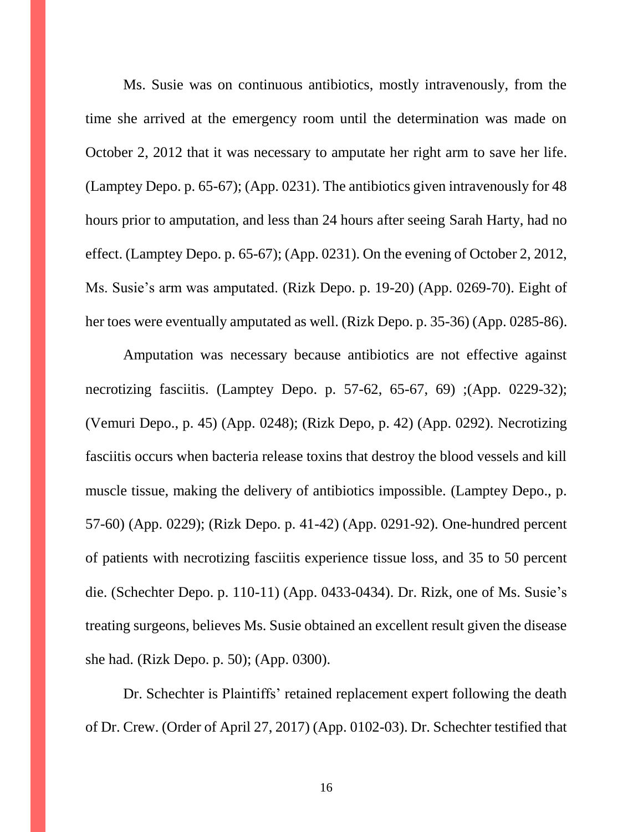Ms. Susie was on continuous antibiotics, mostly intravenously, from the time she arrived at the emergency room until the determination was made on October 2, 2012 that it was necessary to amputate her right arm to save her life. (Lamptey Depo. p. 65-67); (App. 0231). The antibiotics given intravenously for 48 hours prior to amputation, and less than 24 hours after seeing Sarah Harty, had no effect. (Lamptey Depo. p. 65-67); (App. 0231). On the evening of October 2, 2012, Ms. Susie's arm was amputated. (Rizk Depo. p. 19-20) (App. 0269-70). Eight of her toes were eventually amputated as well. (Rizk Depo. p. 35-36) (App. 0285-86).

Amputation was necessary because antibiotics are not effective against necrotizing fasciitis. (Lamptey Depo. p. 57-62, 65-67, 69) ;(App. 0229-32); (Vemuri Depo., p. 45) (App. 0248); (Rizk Depo, p. 42) (App. 0292). Necrotizing fasciitis occurs when bacteria release toxins that destroy the blood vessels and kill muscle tissue, making the delivery of antibiotics impossible. (Lamptey Depo., p. 57-60) (App. 0229); (Rizk Depo. p. 41-42) (App. 0291-92). One-hundred percent of patients with necrotizing fasciitis experience tissue loss, and 35 to 50 percent die. (Schechter Depo. p. 110-11) (App. 0433-0434). Dr. Rizk, one of Ms. Susie's treating surgeons, believes Ms. Susie obtained an excellent result given the disease she had. (Rizk Depo. p. 50); (App. 0300).

Dr. Schechter is Plaintiffs' retained replacement expert following the death of Dr. Crew. (Order of April 27, 2017) (App. 0102-03). Dr. Schechter testified that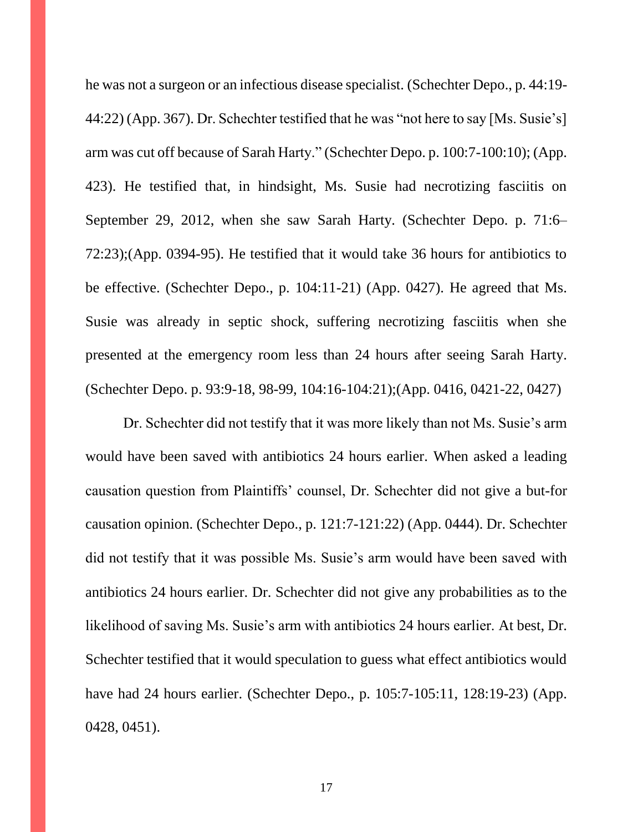he was not a surgeon or an infectious disease specialist. (Schechter Depo., p. 44:19- 44:22) (App. 367). Dr. Schechter testified that he was "not here to say [Ms. Susie's] arm was cut off because of Sarah Harty." (Schechter Depo. p. 100:7-100:10); (App. 423). He testified that, in hindsight, Ms. Susie had necrotizing fasciitis on September 29, 2012, when she saw Sarah Harty. (Schechter Depo. p. 71:6– 72:23);(App. 0394-95). He testified that it would take 36 hours for antibiotics to be effective. (Schechter Depo., p. 104:11-21) (App. 0427). He agreed that Ms. Susie was already in septic shock, suffering necrotizing fasciitis when she presented at the emergency room less than 24 hours after seeing Sarah Harty. (Schechter Depo. p. 93:9-18, 98-99, 104:16-104:21);(App. 0416, 0421-22, 0427)

Dr. Schechter did not testify that it was more likely than not Ms. Susie's arm would have been saved with antibiotics 24 hours earlier. When asked a leading causation question from Plaintiffs' counsel, Dr. Schechter did not give a but-for causation opinion. (Schechter Depo., p. 121:7-121:22) (App. 0444). Dr. Schechter did not testify that it was possible Ms. Susie's arm would have been saved with antibiotics 24 hours earlier. Dr. Schechter did not give any probabilities as to the likelihood of saving Ms. Susie's arm with antibiotics 24 hours earlier. At best, Dr. Schechter testified that it would speculation to guess what effect antibiotics would have had 24 hours earlier. (Schechter Depo., p. 105:7-105:11, 128:19-23) (App. 0428, 0451).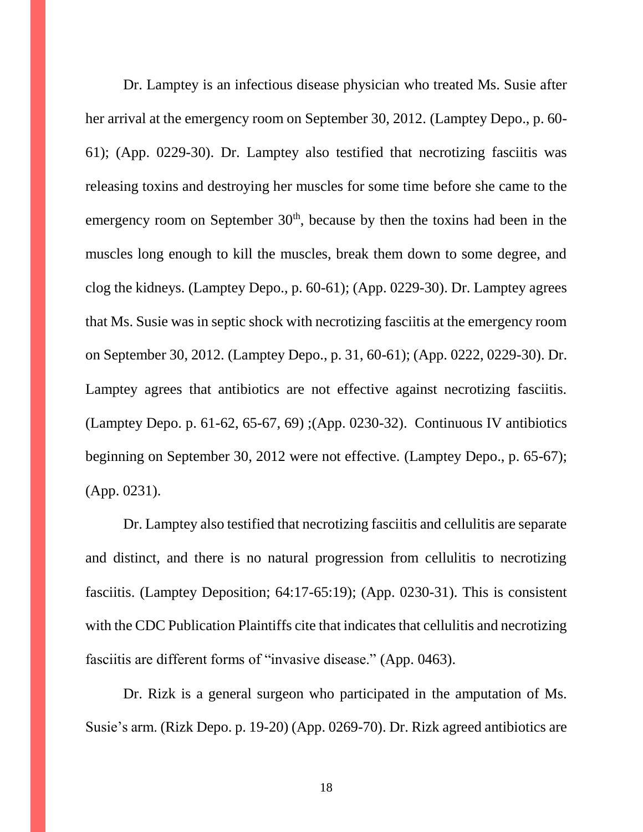Dr. Lamptey is an infectious disease physician who treated Ms. Susie after her arrival at the emergency room on September 30, 2012. (Lamptey Depo., p. 60- 61); (App. 0229-30). Dr. Lamptey also testified that necrotizing fasciitis was releasing toxins and destroying her muscles for some time before she came to the emergency room on September  $30<sup>th</sup>$ , because by then the toxins had been in the muscles long enough to kill the muscles, break them down to some degree, and clog the kidneys. (Lamptey Depo., p. 60-61); (App. 0229-30). Dr. Lamptey agrees that Ms. Susie was in septic shock with necrotizing fasciitis at the emergency room on September 30, 2012. (Lamptey Depo., p. 31, 60-61); (App. 0222, 0229-30). Dr. Lamptey agrees that antibiotics are not effective against necrotizing fasciitis. (Lamptey Depo. p. 61-62, 65-67, 69) ;(App. 0230-32). Continuous IV antibiotics beginning on September 30, 2012 were not effective. (Lamptey Depo., p. 65-67); (App. 0231).

Dr. Lamptey also testified that necrotizing fasciitis and cellulitis are separate and distinct, and there is no natural progression from cellulitis to necrotizing fasciitis. (Lamptey Deposition; 64:17-65:19); (App. 0230-31). This is consistent with the CDC Publication Plaintiffs cite that indicates that cellulitis and necrotizing fasciitis are different forms of "invasive disease." (App. 0463).

Dr. Rizk is a general surgeon who participated in the amputation of Ms. Susie's arm. (Rizk Depo. p. 19-20) (App. 0269-70). Dr. Rizk agreed antibiotics are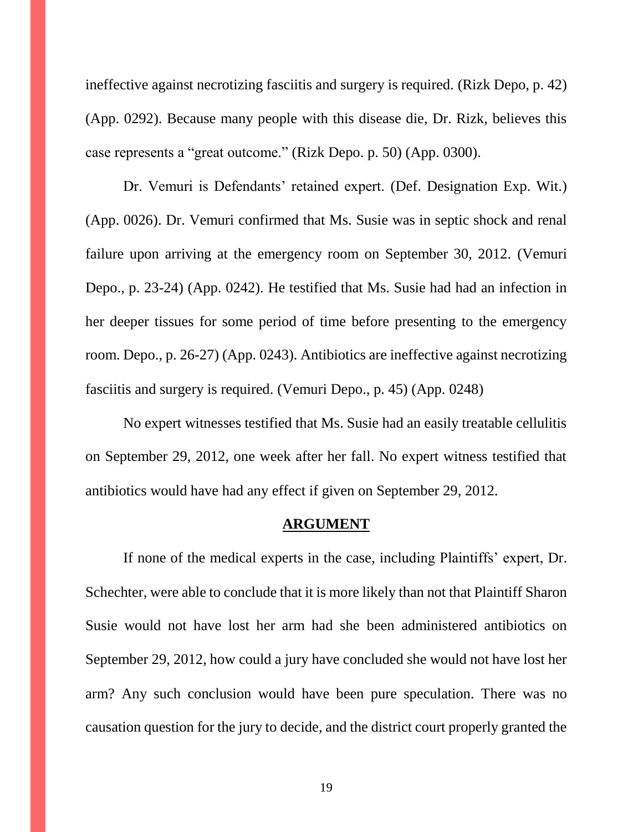ineffective against necrotizing fasciitis and surgery is required. (Rizk Depo, p. 42) (App. 0292). Because many people with this disease die, Dr. Rizk, believes this case represents a "great outcome." (Rizk Depo. p. 50) (App. 0300).

Dr. Vemuri is Defendants' retained expert. (Def. Designation Exp. Wit.) (App. 0026). Dr. Vemuri confirmed that Ms. Susie was in septic shock and renal failure upon arriving at the emergency room on September 30, 2012. (Vemuri Depo., p. 23-24) (App. 0242). He testified that Ms. Susie had had an infection in her deeper tissues for some period of time before presenting to the emergency room. Depo., p. 26-27) (App. 0243). Antibiotics are ineffective against necrotizing fasciitis and surgery is required. (Vemuri Depo., p. 45) (App. 0248)

No expert witnesses testified that Ms. Susie had an easily treatable cellulitis on September 29, 2012, one week after her fall. No expert witness testified that antibiotics would have had any effect if given on September 29, 2012.

#### **ARGUMENT**

If none of the medical experts in the case, including Plaintiffs' expert, Dr. Schechter, were able to conclude that it is more likely than not that Plaintiff Sharon Susie would not have lost her arm had she been administered antibiotics on September 29, 2012, how could a jury have concluded she would not have lost her arm? Any such conclusion would have been pure speculation. There was no causation question for the jury to decide, and the district court properly granted the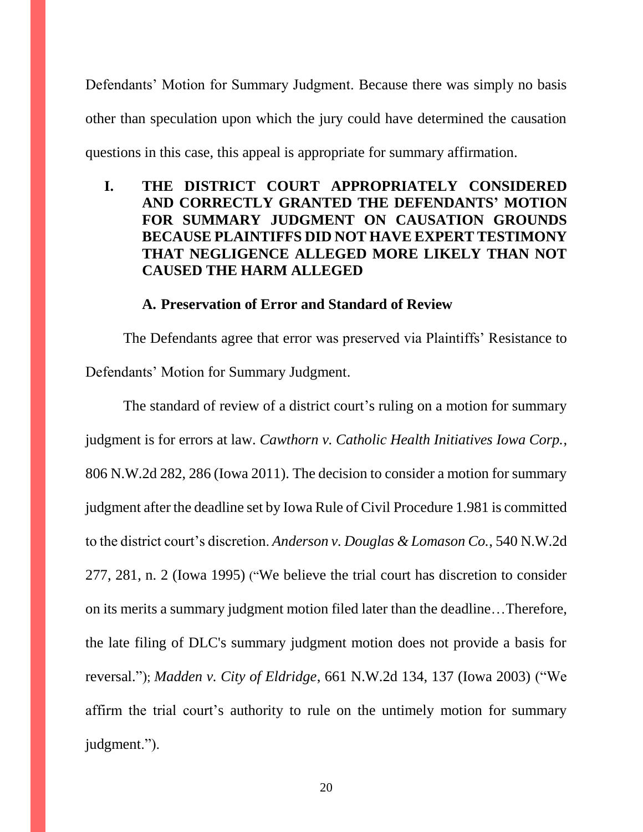Defendants' Motion for Summary Judgment. Because there was simply no basis other than speculation upon which the jury could have determined the causation questions in this case, this appeal is appropriate for summary affirmation.

## **I. THE DISTRICT COURT APPROPRIATELY CONSIDERED AND CORRECTLY GRANTED THE DEFENDANTS' MOTION FOR SUMMARY JUDGMENT ON CAUSATION GROUNDS BECAUSE PLAINTIFFS DID NOT HAVE EXPERT TESTIMONY THAT NEGLIGENCE ALLEGED MORE LIKELY THAN NOT CAUSED THE HARM ALLEGED**

#### **A. Preservation of Error and Standard of Review**

The Defendants agree that error was preserved via Plaintiffs' Resistance to Defendants' Motion for Summary Judgment.

The standard of review of a district court's ruling on a motion for summary judgment is for errors at law. *Cawthorn v. Catholic Health Initiatives Iowa Corp.*, 806 N.W.2d 282, 286 (Iowa 2011). The decision to consider a motion for summary judgment after the deadline set by Iowa Rule of Civil Procedure 1.981 is committed to the district court's discretion. *Anderson v. Douglas & Lomason Co.*, 540 N.W.2d 277, 281, n. 2 (Iowa 1995) ("We believe the trial court has discretion to consider on its merits a summary judgment motion filed later than the deadline…Therefore, the late filing of DLC's summary judgment motion does not provide a basis for reversal."); *Madden v. City of Eldridge*, 661 N.W.2d 134, 137 (Iowa 2003) ("We affirm the trial court's authority to rule on the untimely motion for summary judgment.").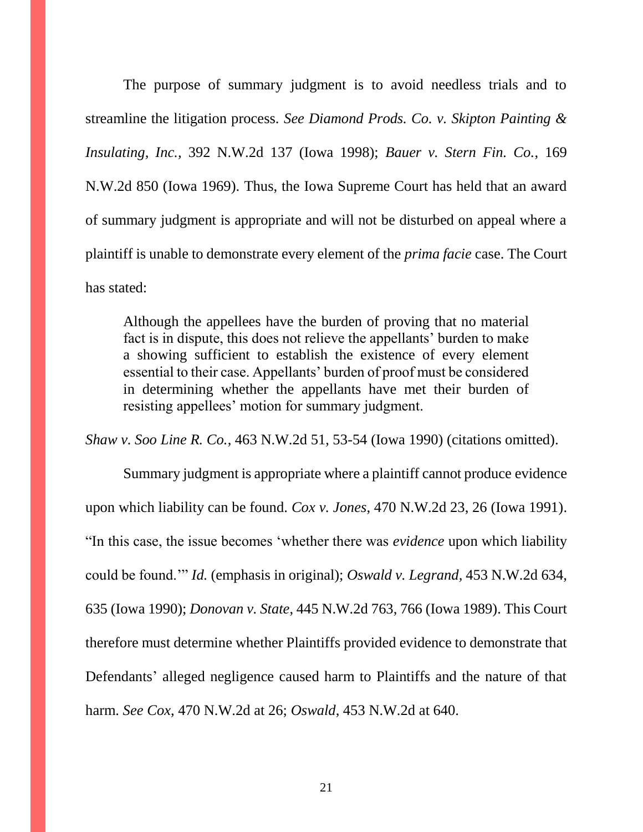The purpose of summary judgment is to avoid needless trials and to streamline the litigation process. *See Diamond Prods. Co. v. Skipton Painting & Insulating, Inc.,* 392 N.W.2d 137 (Iowa 1998); *Bauer v. Stern Fin. Co.*, 169 N.W.2d 850 (Iowa 1969). Thus, the Iowa Supreme Court has held that an award of summary judgment is appropriate and will not be disturbed on appeal where a plaintiff is unable to demonstrate every element of the *prima facie* case. The Court has stated:

Although the appellees have the burden of proving that no material fact is in dispute, this does not relieve the appellants' burden to make a showing sufficient to establish the existence of every element essential to their case. Appellants' burden of proof must be considered in determining whether the appellants have met their burden of resisting appellees' motion for summary judgment.

*Shaw v. Soo Line R. Co.*, 463 N.W.2d 51, 53-54 (Iowa 1990) (citations omitted).

Summary judgment is appropriate where a plaintiff cannot produce evidence upon which liability can be found. *Cox v. Jones*, 470 N.W.2d 23, 26 (Iowa 1991). "In this case, the issue becomes 'whether there was *evidence* upon which liability could be found.'" *Id.* (emphasis in original); *Oswald v. Legrand,* 453 N.W.2d 634, 635 (Iowa 1990); *Donovan v. State*, 445 N.W.2d 763, 766 (Iowa 1989). This Court therefore must determine whether Plaintiffs provided evidence to demonstrate that Defendants' alleged negligence caused harm to Plaintiffs and the nature of that harm. *See Cox*, 470 N.W.2d at 26; *Oswald*, 453 N.W.2d at 640.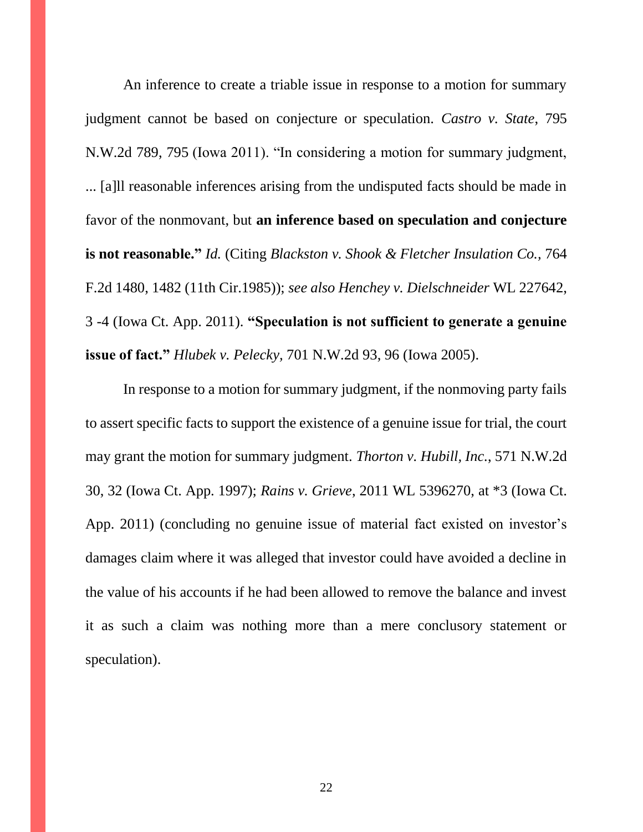An inference to create a triable issue in response to a motion for summary judgment cannot be based on conjecture or speculation. *Castro v. State*, 795 N.W.2d 789, 795 (Iowa 2011). "In considering a motion for summary judgment, ... [a]ll reasonable inferences arising from the undisputed facts should be made in favor of the nonmovant, but **an inference based on speculation and conjecture is not reasonable."** *Id.* (Citing *Blackston v. Shook & Fletcher Insulation Co.,* 764 F.2d 1480, 1482 (11th Cir.1985)); *see also Henchey v. Dielschneider* WL 227642, 3 -4 (Iowa Ct. App. 2011). **"Speculation is not sufficient to generate a genuine issue of fact."** *Hlubek v. Pelecky,* 701 N.W.2d 93, 96 (Iowa 2005).

In response to a motion for summary judgment, if the nonmoving party fails to assert specific facts to support the existence of a genuine issue for trial, the court may grant the motion for summary judgment. *Thorton v. Hubill, Inc.*, 571 N.W.2d 30, 32 (Iowa Ct. App. 1997); *Rains v. Grieve*, 2011 WL 5396270, at \*3 (Iowa Ct. App. 2011) (concluding no genuine issue of material fact existed on investor's damages claim where it was alleged that investor could have avoided a decline in the value of his accounts if he had been allowed to remove the balance and invest it as such a claim was nothing more than a mere conclusory statement or speculation).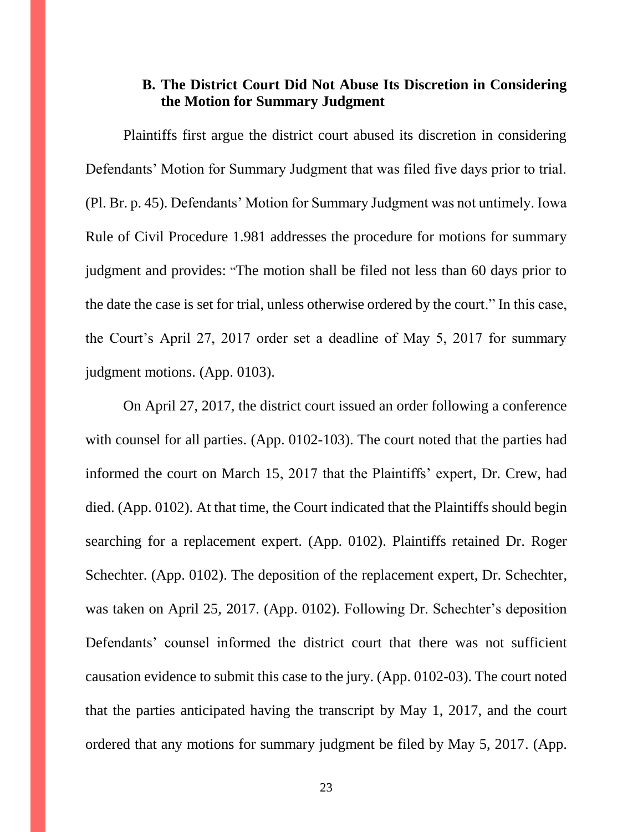#### **B. The District Court Did Not Abuse Its Discretion in Considering the Motion for Summary Judgment**

Plaintiffs first argue the district court abused its discretion in considering Defendants' Motion for Summary Judgment that was filed five days prior to trial. (Pl. Br. p. 45). Defendants' Motion for Summary Judgment was not untimely. Iowa Rule of Civil Procedure 1.981 addresses the procedure for motions for summary judgment and provides: "The motion shall be filed not less than 60 days prior to the date the case is set for trial, unless otherwise ordered by the court." In this case, the Court's April 27, 2017 order set a deadline of May 5, 2017 for summary judgment motions. (App. 0103).

On April 27, 2017, the district court issued an order following a conference with counsel for all parties. (App. 0102-103). The court noted that the parties had informed the court on March 15, 2017 that the Plaintiffs' expert, Dr. Crew, had died. (App. 0102). At that time, the Court indicated that the Plaintiffs should begin searching for a replacement expert. (App. 0102). Plaintiffs retained Dr. Roger Schechter. (App. 0102). The deposition of the replacement expert, Dr. Schechter, was taken on April 25, 2017. (App. 0102). Following Dr. Schechter's deposition Defendants' counsel informed the district court that there was not sufficient causation evidence to submit this case to the jury. (App. 0102-03). The court noted that the parties anticipated having the transcript by May 1, 2017, and the court ordered that any motions for summary judgment be filed by May 5, 2017. (App.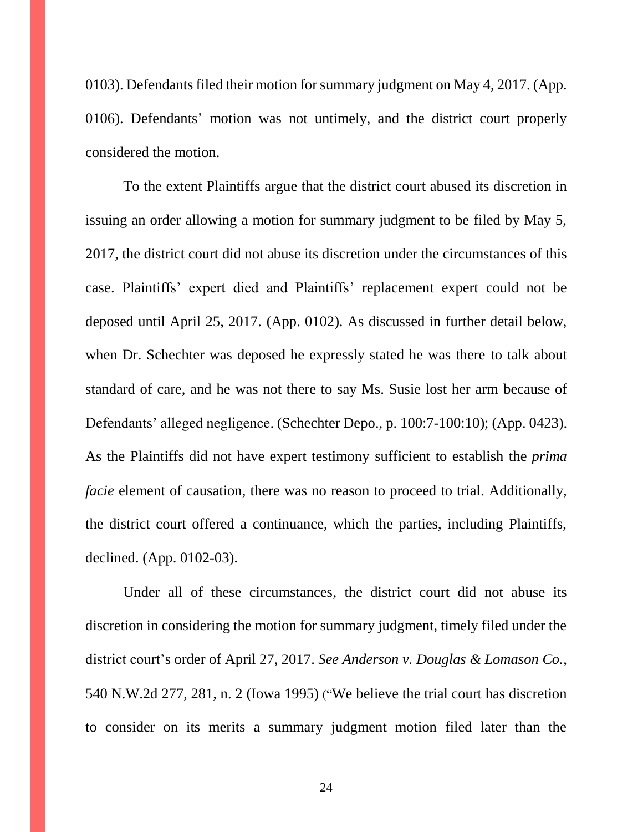0103). Defendants filed their motion for summary judgment on May 4, 2017. (App. 0106). Defendants' motion was not untimely, and the district court properly considered the motion.

To the extent Plaintiffs argue that the district court abused its discretion in issuing an order allowing a motion for summary judgment to be filed by May 5, 2017, the district court did not abuse its discretion under the circumstances of this case. Plaintiffs' expert died and Plaintiffs' replacement expert could not be deposed until April 25, 2017. (App. 0102). As discussed in further detail below, when Dr. Schechter was deposed he expressly stated he was there to talk about standard of care, and he was not there to say Ms. Susie lost her arm because of Defendants' alleged negligence. (Schechter Depo., p. 100:7-100:10); (App. 0423). As the Plaintiffs did not have expert testimony sufficient to establish the *prima facie* element of causation, there was no reason to proceed to trial. Additionally, the district court offered a continuance, which the parties, including Plaintiffs, declined. (App. 0102-03).

Under all of these circumstances, the district court did not abuse its discretion in considering the motion for summary judgment, timely filed under the district court's order of April 27, 2017. *See Anderson v. Douglas & Lomason Co.*, 540 N.W.2d 277, 281, n. 2 (Iowa 1995) ("We believe the trial court has discretion to consider on its merits a summary judgment motion filed later than the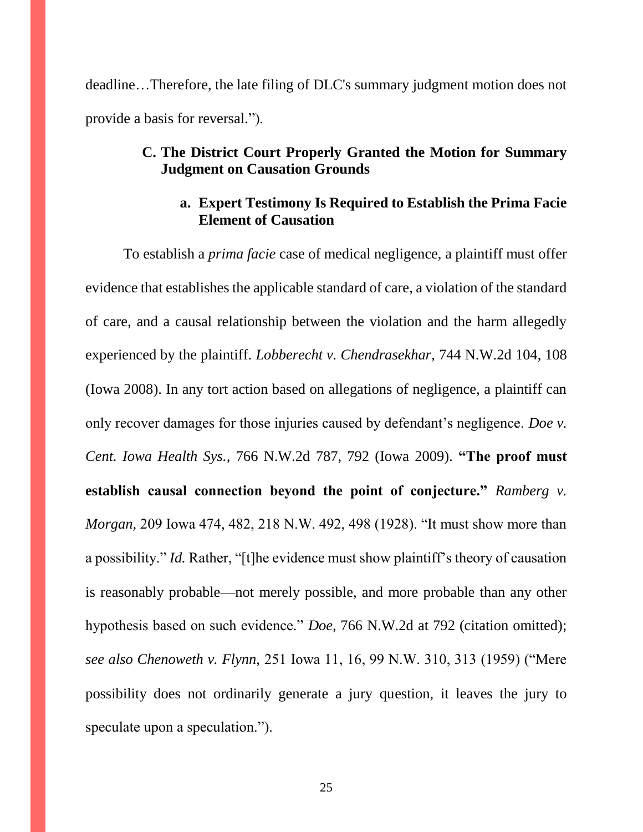deadline…Therefore, the late filing of DLC's summary judgment motion does not provide a basis for reversal.").

### **C. The District Court Properly Granted the Motion for Summary Judgment on Causation Grounds**

#### **a. Expert Testimony Is Required to Establish the Prima Facie Element of Causation**

To establish a *prima facie* case of medical negligence, a plaintiff must offer evidence that establishes the applicable standard of care, a violation of the standard of care, and a causal relationship between the violation and the harm allegedly experienced by the plaintiff. *Lobberecht v. Chendrasekhar,* 744 N.W.2d 104, 108 (Iowa 2008). In any tort action based on allegations of negligence, a plaintiff can only recover damages for those injuries caused by defendant's negligence. *Doe v. Cent. Iowa Health Sys.,* 766 N.W.2d 787, 792 (Iowa 2009). **"The proof must establish causal connection beyond the point of conjecture."** *Ramberg v. Morgan,* 209 Iowa 474, 482, 218 N.W. 492, 498 (1928). "It must show more than a possibility." *Id.* Rather, "[t]he evidence must show plaintiff's theory of causation is reasonably probable—not merely possible, and more probable than any other hypothesis based on such evidence." *Doe,* 766 N.W.2d at 792 (citation omitted); *see also Chenoweth v. Flynn,* 251 Iowa 11, 16, 99 N.W. 310, 313 (1959) ("Mere possibility does not ordinarily generate a jury question, it leaves the jury to speculate upon a speculation.").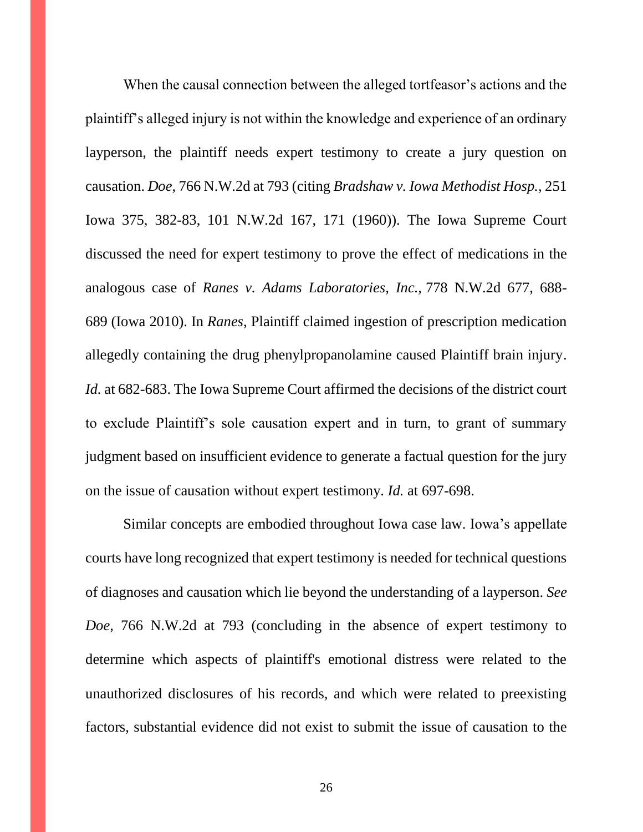When the causal connection between the alleged tortfeasor's actions and the plaintiff's alleged injury is not within the knowledge and experience of an ordinary layperson, the plaintiff needs expert testimony to create a jury question on causation. *Doe*, 766 N.W.2d at 793 (citing *Bradshaw v. Iowa Methodist Hosp.,* 251 Iowa 375, 382-83, 101 N.W.2d 167, 171 (1960)). The Iowa Supreme Court discussed the need for expert testimony to prove the effect of medications in the analogous case of *Ranes v. Adams Laboratories, Inc.,* 778 N.W.2d 677, 688- 689 (Iowa 2010). In *Ranes*, Plaintiff claimed ingestion of prescription medication allegedly containing the drug phenylpropanolamine caused Plaintiff brain injury. *Id.* at 682-683. The Iowa Supreme Court affirmed the decisions of the district court to exclude Plaintiff's sole causation expert and in turn, to grant of summary judgment based on insufficient evidence to generate a factual question for the jury on the issue of causation without expert testimony. *Id.* at 697-698.

Similar concepts are embodied throughout Iowa case law. Iowa's appellate courts have long recognized that expert testimony is needed for technical questions of diagnoses and causation which lie beyond the understanding of a layperson. *See Doe,* 766 N.W.2d at 793 (concluding in the absence of expert testimony to determine which aspects of plaintiff's emotional distress were related to the unauthorized disclosures of his records, and which were related to preexisting factors, substantial evidence did not exist to submit the issue of causation to the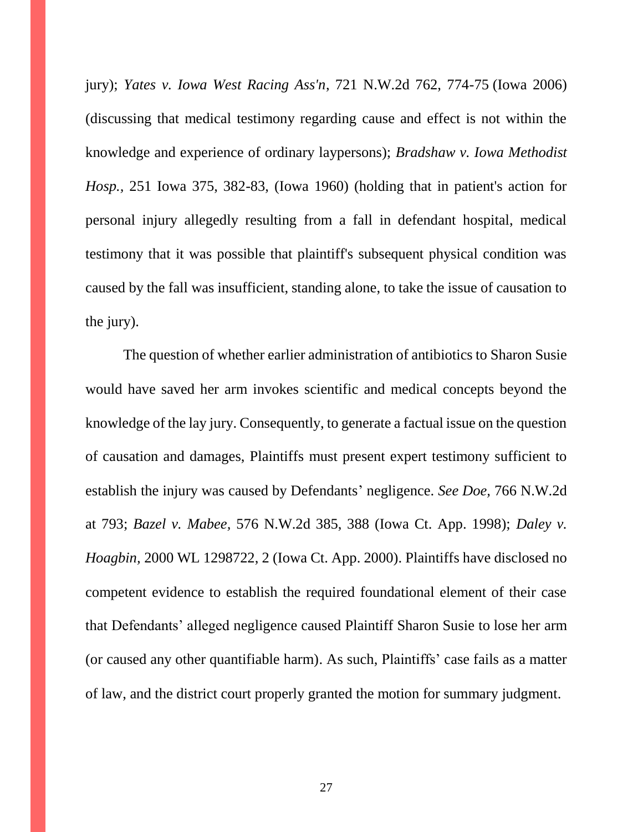jury); *Yates v. Iowa West Racing Ass'n*, 721 N.W.2d 762, 774-75 (Iowa 2006) (discussing that medical testimony regarding cause and effect is not within the knowledge and experience of ordinary laypersons); *Bradshaw v. Iowa Methodist Hosp.,* 251 Iowa 375, 382-83, (Iowa 1960) (holding that in patient's action for personal injury allegedly resulting from a fall in defendant hospital, medical testimony that it was possible that plaintiff's subsequent physical condition was caused by the fall was insufficient, standing alone, to take the issue of causation to the jury).

The question of whether earlier administration of antibiotics to Sharon Susie would have saved her arm invokes scientific and medical concepts beyond the knowledge of the lay jury. Consequently, to generate a factual issue on the question of causation and damages, Plaintiffs must present expert testimony sufficient to establish the injury was caused by Defendants' negligence. *See Doe,* 766 N.W.2d at 793; *Bazel v. Mabee,* 576 N.W.2d 385, 388 (Iowa Ct. App. 1998); *Daley v. Hoagbin,* 2000 WL 1298722, 2 (Iowa Ct. App. 2000). Plaintiffs have disclosed no competent evidence to establish the required foundational element of their case that Defendants' alleged negligence caused Plaintiff Sharon Susie to lose her arm (or caused any other quantifiable harm). As such, Plaintiffs' case fails as a matter of law, and the district court properly granted the motion for summary judgment.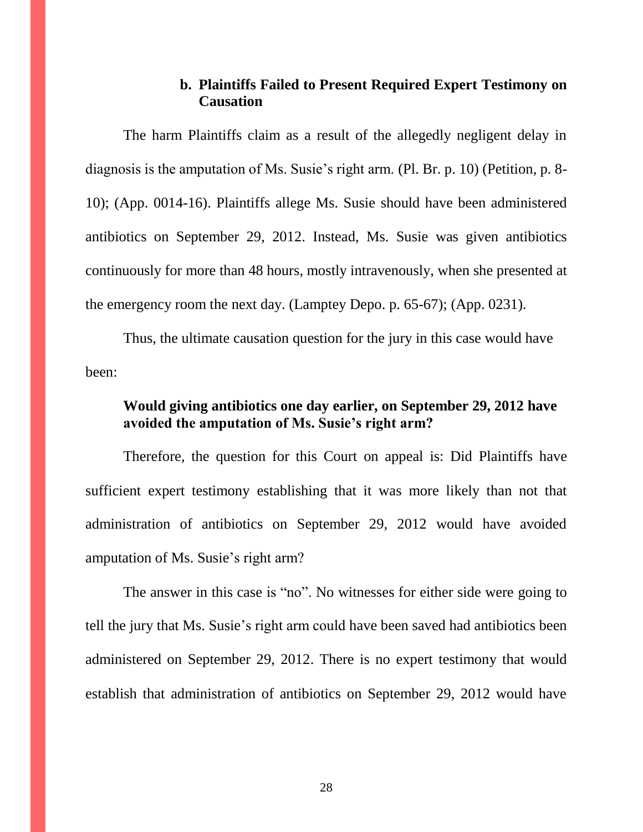### **b. Plaintiffs Failed to Present Required Expert Testimony on Causation**

The harm Plaintiffs claim as a result of the allegedly negligent delay in diagnosis is the amputation of Ms. Susie's right arm. (Pl. Br. p. 10) (Petition, p. 8- 10); (App. 0014-16). Plaintiffs allege Ms. Susie should have been administered antibiotics on September 29, 2012. Instead, Ms. Susie was given antibiotics continuously for more than 48 hours, mostly intravenously, when she presented at the emergency room the next day. (Lamptey Depo. p. 65-67); (App. 0231).

Thus, the ultimate causation question for the jury in this case would have been:

## **Would giving antibiotics one day earlier, on September 29, 2012 have avoided the amputation of Ms. Susie's right arm?**

Therefore, the question for this Court on appeal is: Did Plaintiffs have sufficient expert testimony establishing that it was more likely than not that administration of antibiotics on September 29, 2012 would have avoided amputation of Ms. Susie's right arm?

The answer in this case is "no". No witnesses for either side were going to tell the jury that Ms. Susie's right arm could have been saved had antibiotics been administered on September 29, 2012. There is no expert testimony that would establish that administration of antibiotics on September 29, 2012 would have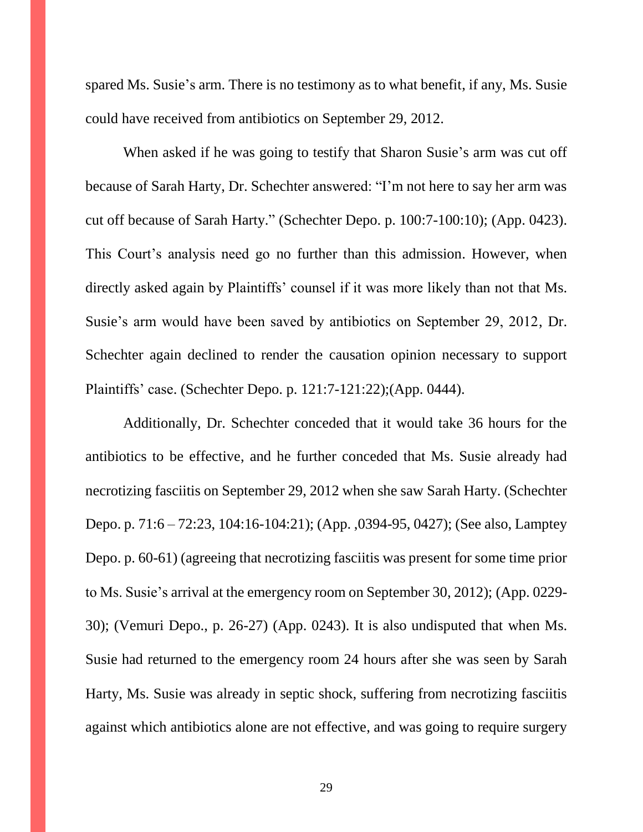spared Ms. Susie's arm. There is no testimony as to what benefit, if any, Ms. Susie could have received from antibiotics on September 29, 2012.

When asked if he was going to testify that Sharon Susie's arm was cut off because of Sarah Harty, Dr. Schechter answered: "I'm not here to say her arm was cut off because of Sarah Harty." (Schechter Depo. p. 100:7-100:10); (App. 0423). This Court's analysis need go no further than this admission. However, when directly asked again by Plaintiffs' counsel if it was more likely than not that Ms. Susie's arm would have been saved by antibiotics on September 29, 2012, Dr. Schechter again declined to render the causation opinion necessary to support Plaintiffs' case. (Schechter Depo. p. 121:7-121:22);(App. 0444).

Additionally, Dr. Schechter conceded that it would take 36 hours for the antibiotics to be effective, and he further conceded that Ms. Susie already had necrotizing fasciitis on September 29, 2012 when she saw Sarah Harty. (Schechter Depo. p. 71:6 – 72:23, 104:16-104:21); (App. ,0394-95, 0427); (See also, Lamptey Depo. p. 60-61) (agreeing that necrotizing fasciitis was present for some time prior to Ms. Susie's arrival at the emergency room on September 30, 2012); (App. 0229- 30); (Vemuri Depo., p. 26-27) (App. 0243). It is also undisputed that when Ms. Susie had returned to the emergency room 24 hours after she was seen by Sarah Harty, Ms. Susie was already in septic shock, suffering from necrotizing fasciitis against which antibiotics alone are not effective, and was going to require surgery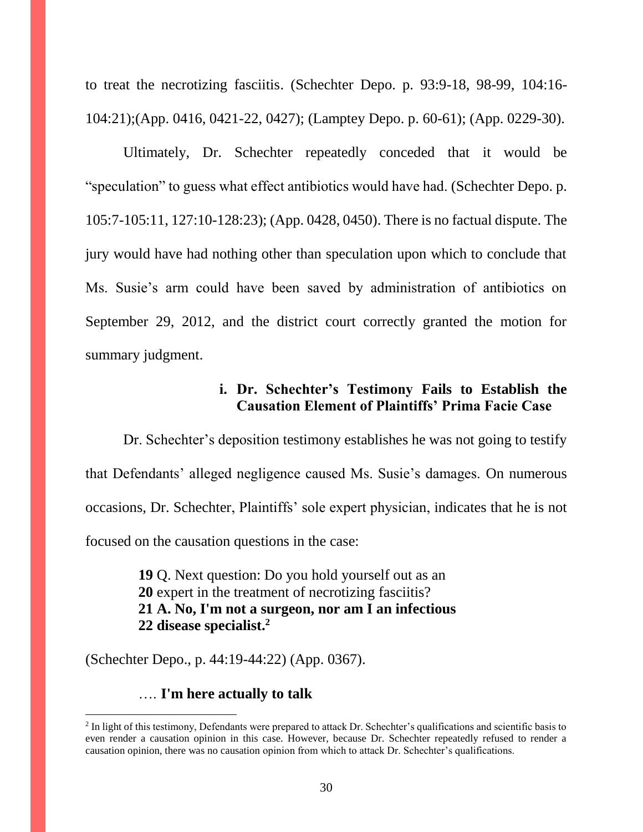to treat the necrotizing fasciitis. (Schechter Depo. p. 93:9-18, 98-99, 104:16- 104:21);(App. 0416, 0421-22, 0427); (Lamptey Depo. p. 60-61); (App. 0229-30).

Ultimately, Dr. Schechter repeatedly conceded that it would be "speculation" to guess what effect antibiotics would have had. (Schechter Depo. p. 105:7-105:11, 127:10-128:23); (App. 0428, 0450). There is no factual dispute. The jury would have had nothing other than speculation upon which to conclude that Ms. Susie's arm could have been saved by administration of antibiotics on September 29, 2012, and the district court correctly granted the motion for summary judgment.

## **i. Dr. Schechter's Testimony Fails to Establish the Causation Element of Plaintiffs' Prima Facie Case**

Dr. Schechter's deposition testimony establishes he was not going to testify that Defendants' alleged negligence caused Ms. Susie's damages. On numerous occasions, Dr. Schechter, Plaintiffs' sole expert physician, indicates that he is not focused on the causation questions in the case:

> **19** Q. Next question: Do you hold yourself out as an **20** expert in the treatment of necrotizing fasciitis? **21 A. No, I'm not a surgeon, nor am I an infectious 22 disease specialist.<sup>2</sup>**

(Schechter Depo., p. 44:19-44:22) (App. 0367).

…. **I'm here actually to talk**

 $\overline{a}$ 

<sup>&</sup>lt;sup>2</sup> In light of this testimony, Defendants were prepared to attack Dr. Schechter's qualifications and scientific basis to even render a causation opinion in this case. However, because Dr. Schechter repeatedly refused to render a causation opinion, there was no causation opinion from which to attack Dr. Schechter's qualifications.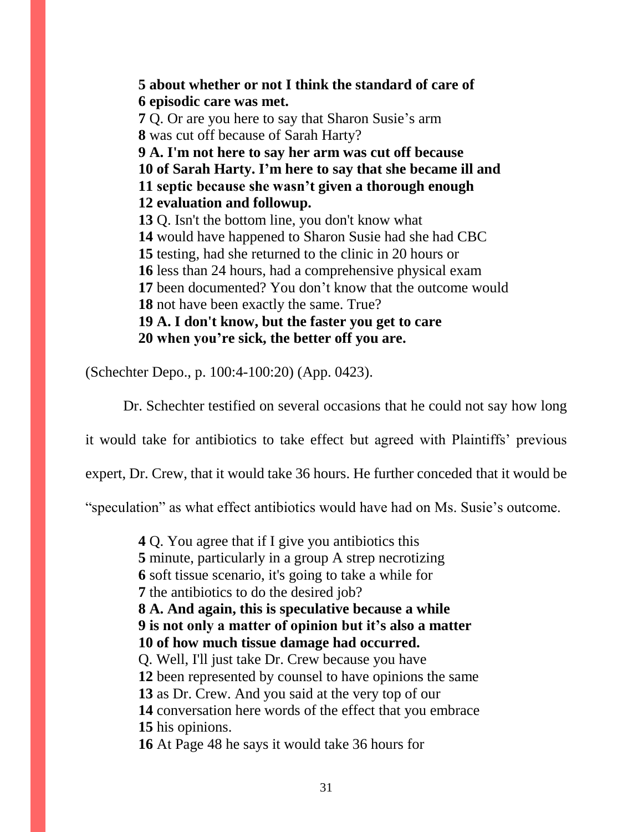**5 about whether or not I think the standard of care of 6 episodic care was met. 7** Q. Or are you here to say that Sharon Susie's arm **8** was cut off because of Sarah Harty? **9 A. I'm not here to say her arm was cut off because 10 of Sarah Harty. I'm here to say that she became ill and 11 septic because she wasn't given a thorough enough 12 evaluation and followup. 13** Q. Isn't the bottom line, you don't know what **14** would have happened to Sharon Susie had she had CBC **15** testing, had she returned to the clinic in 20 hours or **16** less than 24 hours, had a comprehensive physical exam **17** been documented? You don't know that the outcome would **18** not have been exactly the same. True? **19 A. I don't know, but the faster you get to care 20 when you're sick, the better off you are.**

(Schechter Depo., p. 100:4-100:20) (App. 0423).

Dr. Schechter testified on several occasions that he could not say how long

it would take for antibiotics to take effect but agreed with Plaintiffs' previous

expert, Dr. Crew, that it would take 36 hours. He further conceded that it would be

"speculation" as what effect antibiotics would have had on Ms. Susie's outcome.

Q. You agree that if I give you antibiotics this minute, particularly in a group A strep necrotizing soft tissue scenario, it's going to take a while for the antibiotics to do the desired job? **8 A. And again, this is speculative because a while 9 is not only a matter of opinion but it's also a matter 10 of how much tissue damage had occurred.** Q. Well, I'll just take Dr. Crew because you have been represented by counsel to have opinions the same as Dr. Crew. And you said at the very top of our conversation here words of the effect that you embrace his opinions. At Page 48 he says it would take 36 hours for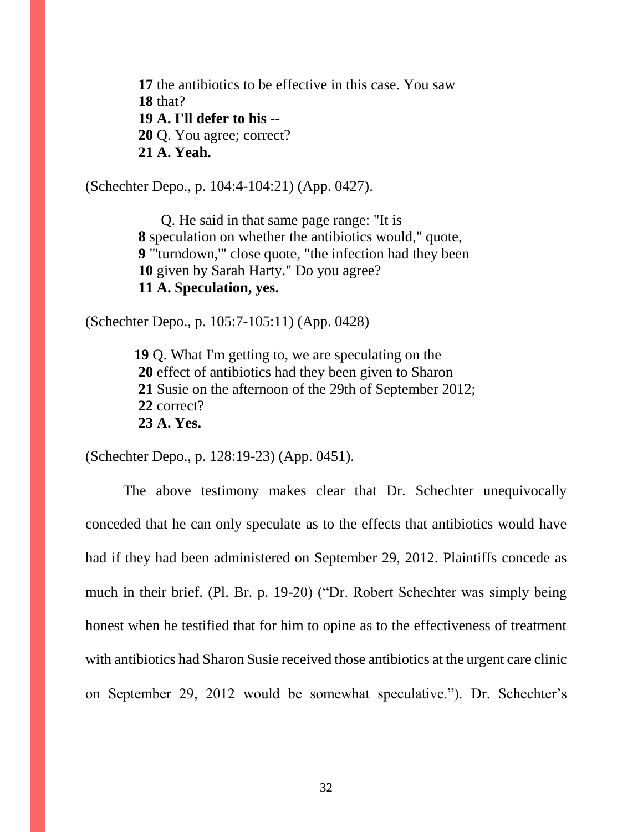**17** the antibiotics to be effective in this case. You saw **18** that? **19 A. I'll defer to his -- 20** Q. You agree; correct? **21 A. Yeah.**

(Schechter Depo., p. 104:4-104:21) (App. 0427).

Q. He said in that same page range: "It is **8** speculation on whether the antibiotics would," quote, **9** "'turndown,'" close quote, "the infection had they been **10** given by Sarah Harty." Do you agree? **11 A. Speculation, yes.**

(Schechter Depo., p. 105:7-105:11) (App. 0428)

 **19** Q. What I'm getting to, we are speculating on the **20** effect of antibiotics had they been given to Sharon **21** Susie on the afternoon of the 29th of September 2012; **22** correct? **23 A. Yes.**

(Schechter Depo., p. 128:19-23) (App. 0451).

The above testimony makes clear that Dr. Schechter unequivocally conceded that he can only speculate as to the effects that antibiotics would have had if they had been administered on September 29, 2012. Plaintiffs concede as much in their brief. (Pl. Br. p. 19-20) ("Dr. Robert Schechter was simply being honest when he testified that for him to opine as to the effectiveness of treatment with antibiotics had Sharon Susie received those antibiotics at the urgent care clinic on September 29, 2012 would be somewhat speculative."). Dr. Schechter's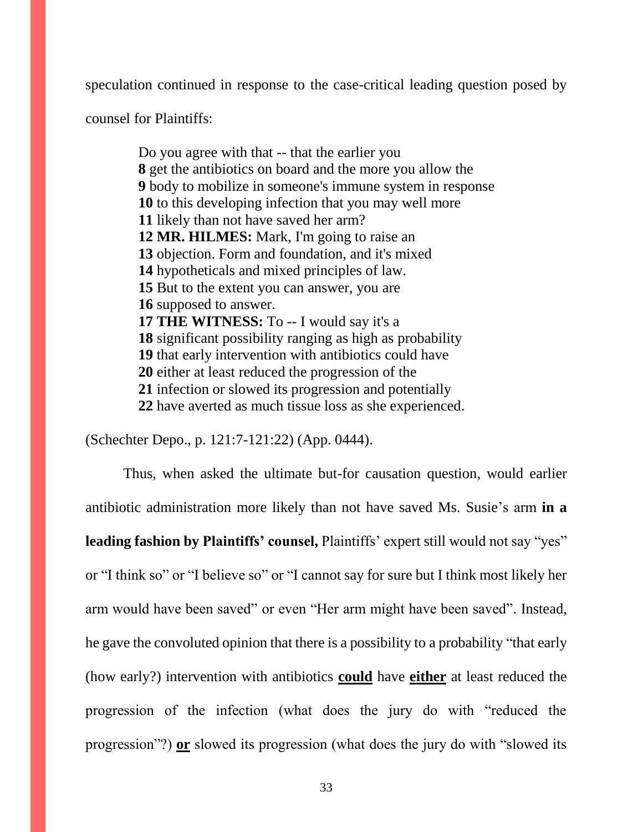speculation continued in response to the case-critical leading question posed by

counsel for Plaintiffs:

Do you agree with that -- that the earlier you get the antibiotics on board and the more you allow the body to mobilize in someone's immune system in response to this developing infection that you may well more likely than not have saved her arm? **12 MR. HILMES:** Mark, I'm going to raise an objection. Form and foundation, and it's mixed hypotheticals and mixed principles of law. But to the extent you can answer, you are supposed to answer. **17 THE WITNESS:** To -- I would say it's a significant possibility ranging as high as probability that early intervention with antibiotics could have either at least reduced the progression of the infection or slowed its progression and potentially have averted as much tissue loss as she experienced.

(Schechter Depo., p. 121:7-121:22) (App. 0444).

Thus, when asked the ultimate but-for causation question, would earlier antibiotic administration more likely than not have saved Ms. Susie's arm **in a leading fashion by Plaintiffs' counsel,** Plaintiffs' expert still would not say "yes" or "I think so" or "I believe so" or "I cannot say for sure but I think most likely her arm would have been saved" or even "Her arm might have been saved". Instead, he gave the convoluted opinion that there is a possibility to a probability "that early (how early?) intervention with antibiotics **could** have **either** at least reduced the progression of the infection (what does the jury do with "reduced the progression"?) **or** slowed its progression (what does the jury do with "slowed its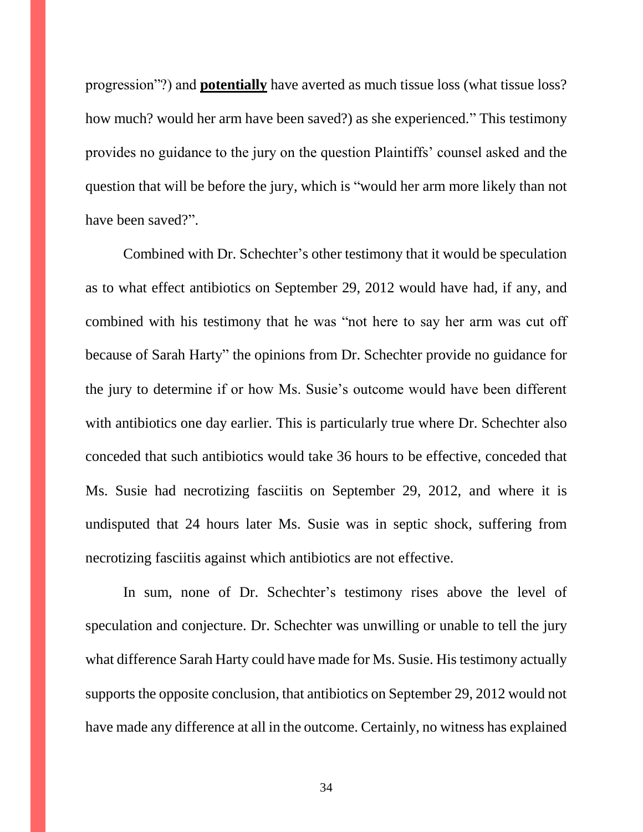progression"?) and **potentially** have averted as much tissue loss (what tissue loss? how much? would her arm have been saved?) as she experienced." This testimony provides no guidance to the jury on the question Plaintiffs' counsel asked and the question that will be before the jury, which is "would her arm more likely than not have been saved?".

Combined with Dr. Schechter's other testimony that it would be speculation as to what effect antibiotics on September 29, 2012 would have had, if any, and combined with his testimony that he was "not here to say her arm was cut off because of Sarah Harty" the opinions from Dr. Schechter provide no guidance for the jury to determine if or how Ms. Susie's outcome would have been different with antibiotics one day earlier. This is particularly true where Dr. Schechter also conceded that such antibiotics would take 36 hours to be effective, conceded that Ms. Susie had necrotizing fasciitis on September 29, 2012, and where it is undisputed that 24 hours later Ms. Susie was in septic shock, suffering from necrotizing fasciitis against which antibiotics are not effective.

In sum, none of Dr. Schechter's testimony rises above the level of speculation and conjecture. Dr. Schechter was unwilling or unable to tell the jury what difference Sarah Harty could have made for Ms. Susie. His testimony actually supports the opposite conclusion, that antibiotics on September 29, 2012 would not have made any difference at all in the outcome. Certainly, no witness has explained

34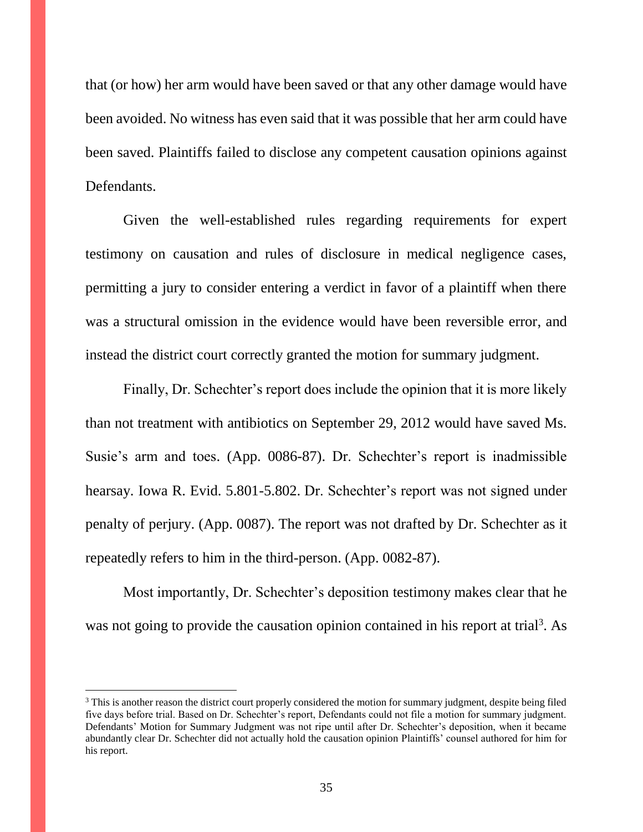that (or how) her arm would have been saved or that any other damage would have been avoided. No witness has even said that it was possible that her arm could have been saved. Plaintiffs failed to disclose any competent causation opinions against Defendants.

Given the well-established rules regarding requirements for expert testimony on causation and rules of disclosure in medical negligence cases, permitting a jury to consider entering a verdict in favor of a plaintiff when there was a structural omission in the evidence would have been reversible error, and instead the district court correctly granted the motion for summary judgment.

Finally, Dr. Schechter's report does include the opinion that it is more likely than not treatment with antibiotics on September 29, 2012 would have saved Ms. Susie's arm and toes. (App. 0086-87). Dr. Schechter's report is inadmissible hearsay. Iowa R. Evid. 5.801-5.802. Dr. Schechter's report was not signed under penalty of perjury. (App. 0087). The report was not drafted by Dr. Schechter as it repeatedly refers to him in the third-person. (App. 0082-87).

Most importantly, Dr. Schechter's deposition testimony makes clear that he was not going to provide the causation opinion contained in his report at trial<sup>3</sup>. As

 $\overline{a}$ 

<sup>&</sup>lt;sup>3</sup> This is another reason the district court properly considered the motion for summary judgment, despite being filed five days before trial. Based on Dr. Schechter's report, Defendants could not file a motion for summary judgment. Defendants' Motion for Summary Judgment was not ripe until after Dr. Schechter's deposition, when it became abundantly clear Dr. Schechter did not actually hold the causation opinion Plaintiffs' counsel authored for him for his report.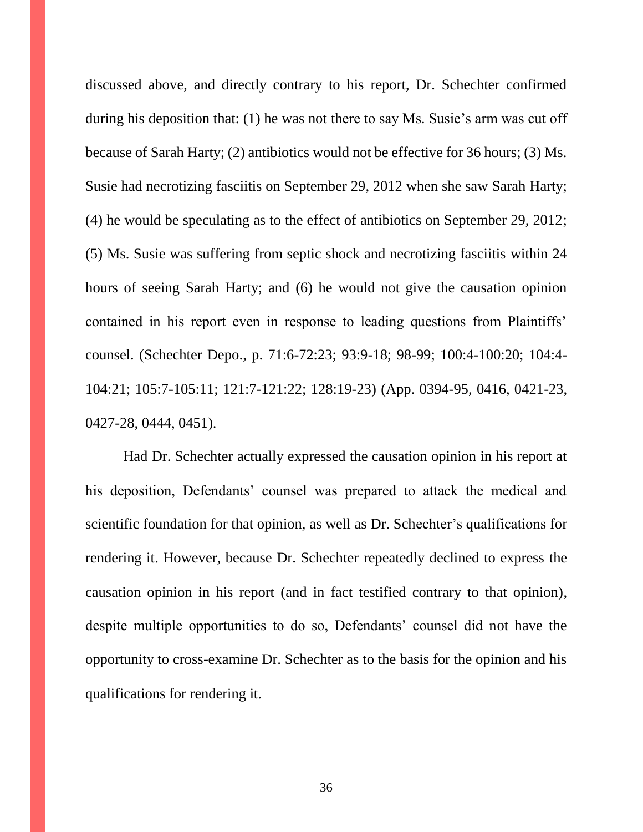discussed above, and directly contrary to his report, Dr. Schechter confirmed during his deposition that: (1) he was not there to say Ms. Susie's arm was cut off because of Sarah Harty; (2) antibiotics would not be effective for 36 hours; (3) Ms. Susie had necrotizing fasciitis on September 29, 2012 when she saw Sarah Harty; (4) he would be speculating as to the effect of antibiotics on September 29, 2012; (5) Ms. Susie was suffering from septic shock and necrotizing fasciitis within 24 hours of seeing Sarah Harty; and (6) he would not give the causation opinion contained in his report even in response to leading questions from Plaintiffs' counsel. (Schechter Depo., p. 71:6-72:23; 93:9-18; 98-99; 100:4-100:20; 104:4- 104:21; 105:7-105:11; 121:7-121:22; 128:19-23) (App. 0394-95, 0416, 0421-23, 0427-28, 0444, 0451).

Had Dr. Schechter actually expressed the causation opinion in his report at his deposition, Defendants' counsel was prepared to attack the medical and scientific foundation for that opinion, as well as Dr. Schechter's qualifications for rendering it. However, because Dr. Schechter repeatedly declined to express the causation opinion in his report (and in fact testified contrary to that opinion), despite multiple opportunities to do so, Defendants' counsel did not have the opportunity to cross-examine Dr. Schechter as to the basis for the opinion and his qualifications for rendering it.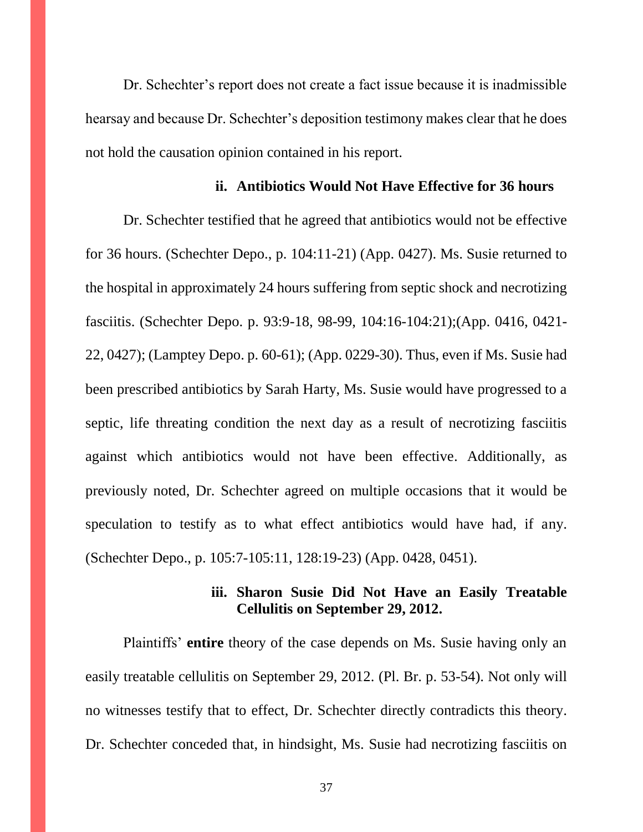Dr. Schechter's report does not create a fact issue because it is inadmissible hearsay and because Dr. Schechter's deposition testimony makes clear that he does not hold the causation opinion contained in his report.

#### **ii. Antibiotics Would Not Have Effective for 36 hours**

Dr. Schechter testified that he agreed that antibiotics would not be effective for 36 hours. (Schechter Depo., p. 104:11-21) (App. 0427). Ms. Susie returned to the hospital in approximately 24 hours suffering from septic shock and necrotizing fasciitis. (Schechter Depo. p. 93:9-18, 98-99, 104:16-104:21);(App. 0416, 0421- 22, 0427); (Lamptey Depo. p. 60-61); (App. 0229-30). Thus, even if Ms. Susie had been prescribed antibiotics by Sarah Harty, Ms. Susie would have progressed to a septic, life threating condition the next day as a result of necrotizing fasciitis against which antibiotics would not have been effective. Additionally, as previously noted, Dr. Schechter agreed on multiple occasions that it would be speculation to testify as to what effect antibiotics would have had, if any. (Schechter Depo., p. 105:7-105:11, 128:19-23) (App. 0428, 0451).

#### **iii. Sharon Susie Did Not Have an Easily Treatable Cellulitis on September 29, 2012.**

Plaintiffs' **entire** theory of the case depends on Ms. Susie having only an easily treatable cellulitis on September 29, 2012. (Pl. Br. p. 53-54). Not only will no witnesses testify that to effect, Dr. Schechter directly contradicts this theory. Dr. Schechter conceded that, in hindsight, Ms. Susie had necrotizing fasciitis on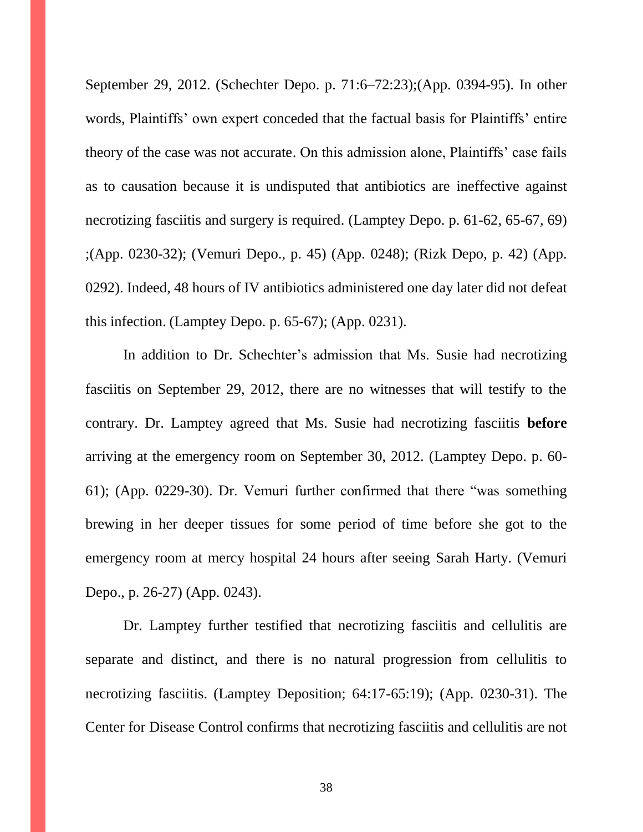September 29, 2012. (Schechter Depo. p. 71:6–72:23);(App. 0394-95). In other words, Plaintiffs' own expert conceded that the factual basis for Plaintiffs' entire theory of the case was not accurate. On this admission alone, Plaintiffs' case fails as to causation because it is undisputed that antibiotics are ineffective against necrotizing fasciitis and surgery is required. (Lamptey Depo. p. 61-62, 65-67, 69) ;(App. 0230-32); (Vemuri Depo., p. 45) (App. 0248); (Rizk Depo, p. 42) (App. 0292). Indeed, 48 hours of IV antibiotics administered one day later did not defeat this infection. (Lamptey Depo. p. 65-67); (App. 0231).

In addition to Dr. Schechter's admission that Ms. Susie had necrotizing fasciitis on September 29, 2012, there are no witnesses that will testify to the contrary. Dr. Lamptey agreed that Ms. Susie had necrotizing fasciitis **before**  arriving at the emergency room on September 30, 2012. (Lamptey Depo. p. 60- 61); (App. 0229-30). Dr. Vemuri further confirmed that there "was something brewing in her deeper tissues for some period of time before she got to the emergency room at mercy hospital 24 hours after seeing Sarah Harty. (Vemuri Depo., p. 26-27) (App. 0243).

Dr. Lamptey further testified that necrotizing fasciitis and cellulitis are separate and distinct, and there is no natural progression from cellulitis to necrotizing fasciitis. (Lamptey Deposition; 64:17-65:19); (App. 0230-31). The Center for Disease Control confirms that necrotizing fasciitis and cellulitis are not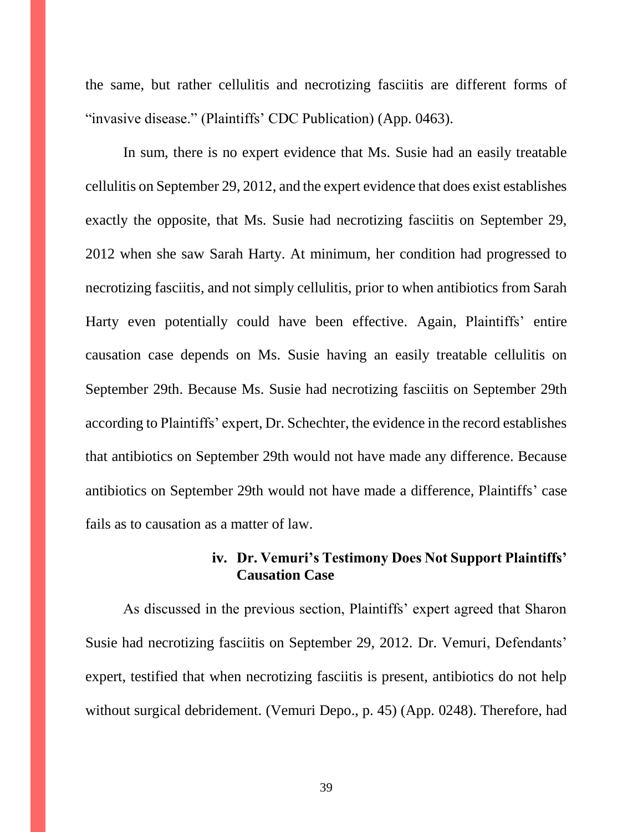the same, but rather cellulitis and necrotizing fasciitis are different forms of "invasive disease." (Plaintiffs' CDC Publication) (App. 0463).

In sum, there is no expert evidence that Ms. Susie had an easily treatable cellulitis on September 29, 2012, and the expert evidence that does exist establishes exactly the opposite, that Ms. Susie had necrotizing fasciitis on September 29, 2012 when she saw Sarah Harty. At minimum, her condition had progressed to necrotizing fasciitis, and not simply cellulitis, prior to when antibiotics from Sarah Harty even potentially could have been effective. Again, Plaintiffs' entire causation case depends on Ms. Susie having an easily treatable cellulitis on September 29th. Because Ms. Susie had necrotizing fasciitis on September 29th according to Plaintiffs' expert, Dr. Schechter, the evidence in the record establishes that antibiotics on September 29th would not have made any difference. Because antibiotics on September 29th would not have made a difference, Plaintiffs' case fails as to causation as a matter of law.

## **iv. Dr. Vemuri's Testimony Does Not Support Plaintiffs' Causation Case**

As discussed in the previous section, Plaintiffs' expert agreed that Sharon Susie had necrotizing fasciitis on September 29, 2012. Dr. Vemuri, Defendants' expert, testified that when necrotizing fasciitis is present, antibiotics do not help without surgical debridement. (Vemuri Depo., p. 45) (App. 0248). Therefore, had

39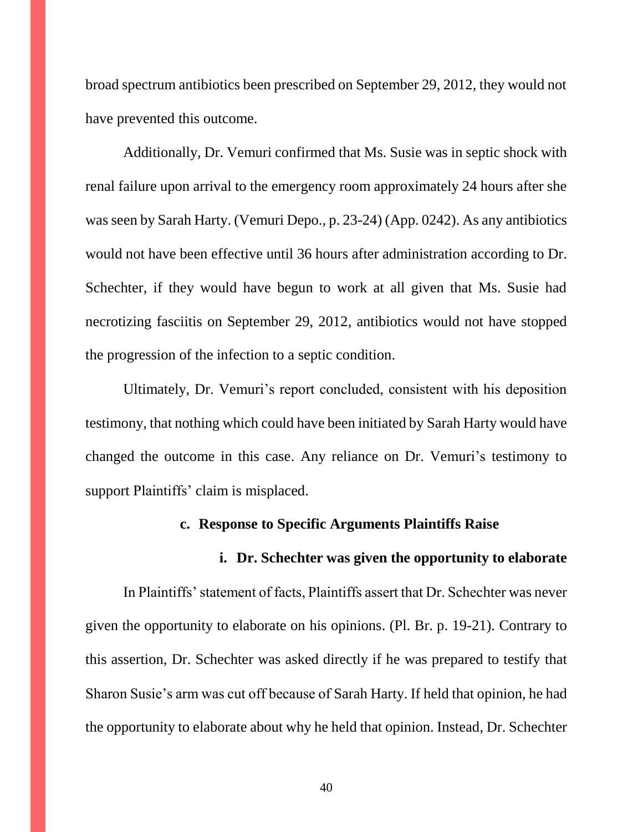broad spectrum antibiotics been prescribed on September 29, 2012, they would not have prevented this outcome.

Additionally, Dr. Vemuri confirmed that Ms. Susie was in septic shock with renal failure upon arrival to the emergency room approximately 24 hours after she was seen by Sarah Harty. (Vemuri Depo., p. 23-24) (App. 0242). As any antibiotics would not have been effective until 36 hours after administration according to Dr. Schechter, if they would have begun to work at all given that Ms. Susie had necrotizing fasciitis on September 29, 2012, antibiotics would not have stopped the progression of the infection to a septic condition.

Ultimately, Dr. Vemuri's report concluded, consistent with his deposition testimony, that nothing which could have been initiated by Sarah Harty would have changed the outcome in this case. Any reliance on Dr. Vemuri's testimony to support Plaintiffs' claim is misplaced.

#### **c. Response to Specific Arguments Plaintiffs Raise**

#### **i. Dr. Schechter was given the opportunity to elaborate**

In Plaintiffs' statement of facts, Plaintiffs assert that Dr. Schechter was never given the opportunity to elaborate on his opinions. (Pl. Br. p. 19-21). Contrary to this assertion, Dr. Schechter was asked directly if he was prepared to testify that Sharon Susie's arm was cut off because of Sarah Harty. If held that opinion, he had the opportunity to elaborate about why he held that opinion. Instead, Dr. Schechter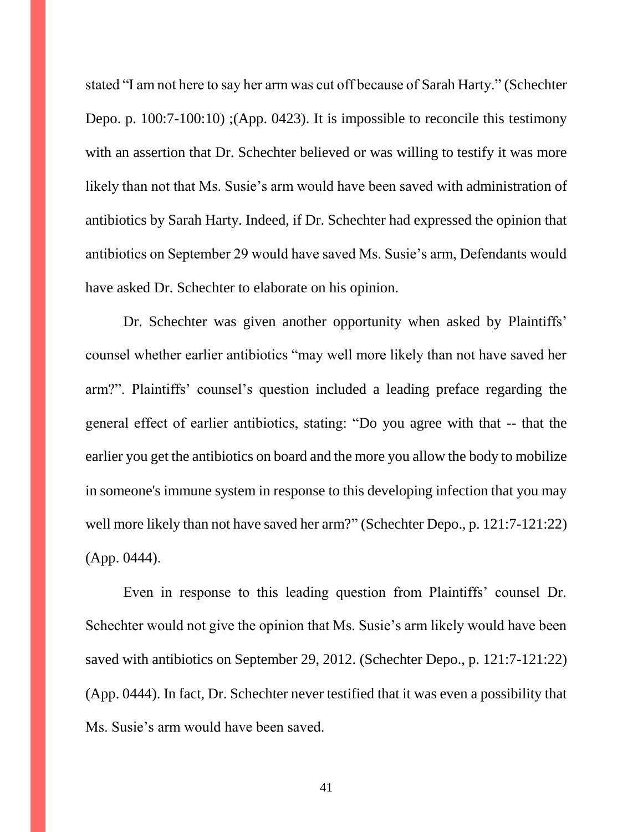stated "I am not here to say her arm was cut off because of Sarah Harty." (Schechter Depo. p. 100:7-100:10) ;(App. 0423). It is impossible to reconcile this testimony with an assertion that Dr. Schechter believed or was willing to testify it was more likely than not that Ms. Susie's arm would have been saved with administration of antibiotics by Sarah Harty. Indeed, if Dr. Schechter had expressed the opinion that antibiotics on September 29 would have saved Ms. Susie's arm, Defendants would have asked Dr. Schechter to elaborate on his opinion.

Dr. Schechter was given another opportunity when asked by Plaintiffs' counsel whether earlier antibiotics "may well more likely than not have saved her arm?". Plaintiffs' counsel's question included a leading preface regarding the general effect of earlier antibiotics, stating: "Do you agree with that -- that the earlier you get the antibiotics on board and the more you allow the body to mobilize in someone's immune system in response to this developing infection that you may well more likely than not have saved her arm?" (Schechter Depo., p. 121:7-121:22) (App. 0444).

Even in response to this leading question from Plaintiffs' counsel Dr. Schechter would not give the opinion that Ms. Susie's arm likely would have been saved with antibiotics on September 29, 2012. (Schechter Depo., p. 121:7-121:22) (App. 0444). In fact, Dr. Schechter never testified that it was even a possibility that Ms. Susie's arm would have been saved.

41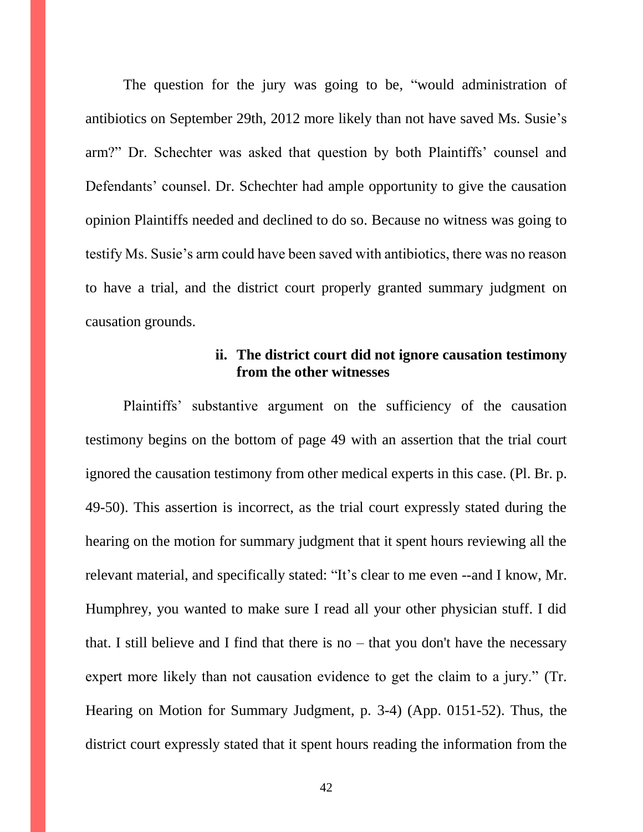The question for the jury was going to be, "would administration of antibiotics on September 29th, 2012 more likely than not have saved Ms. Susie's arm?" Dr. Schechter was asked that question by both Plaintiffs' counsel and Defendants' counsel. Dr. Schechter had ample opportunity to give the causation opinion Plaintiffs needed and declined to do so. Because no witness was going to testify Ms. Susie's arm could have been saved with antibiotics, there was no reason to have a trial, and the district court properly granted summary judgment on causation grounds.

#### **ii. The district court did not ignore causation testimony from the other witnesses**

Plaintiffs' substantive argument on the sufficiency of the causation testimony begins on the bottom of page 49 with an assertion that the trial court ignored the causation testimony from other medical experts in this case. (Pl. Br. p. 49-50). This assertion is incorrect, as the trial court expressly stated during the hearing on the motion for summary judgment that it spent hours reviewing all the relevant material, and specifically stated: "It's clear to me even --and I know, Mr. Humphrey, you wanted to make sure I read all your other physician stuff. I did that. I still believe and I find that there is no – that you don't have the necessary expert more likely than not causation evidence to get the claim to a jury." (Tr. Hearing on Motion for Summary Judgment, p. 3-4) (App. 0151-52). Thus, the district court expressly stated that it spent hours reading the information from the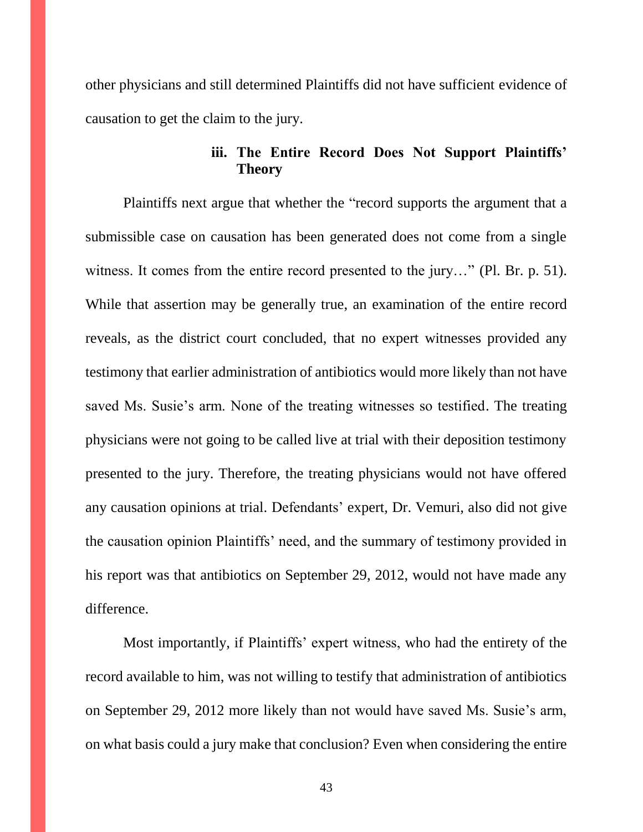other physicians and still determined Plaintiffs did not have sufficient evidence of causation to get the claim to the jury.

## **iii. The Entire Record Does Not Support Plaintiffs' Theory**

Plaintiffs next argue that whether the "record supports the argument that a submissible case on causation has been generated does not come from a single witness. It comes from the entire record presented to the jury…" (Pl. Br. p. 51). While that assertion may be generally true, an examination of the entire record reveals, as the district court concluded, that no expert witnesses provided any testimony that earlier administration of antibiotics would more likely than not have saved Ms. Susie's arm. None of the treating witnesses so testified. The treating physicians were not going to be called live at trial with their deposition testimony presented to the jury. Therefore, the treating physicians would not have offered any causation opinions at trial. Defendants' expert, Dr. Vemuri, also did not give the causation opinion Plaintiffs' need, and the summary of testimony provided in his report was that antibiotics on September 29, 2012, would not have made any difference.

Most importantly, if Plaintiffs' expert witness, who had the entirety of the record available to him, was not willing to testify that administration of antibiotics on September 29, 2012 more likely than not would have saved Ms. Susie's arm, on what basis could a jury make that conclusion? Even when considering the entire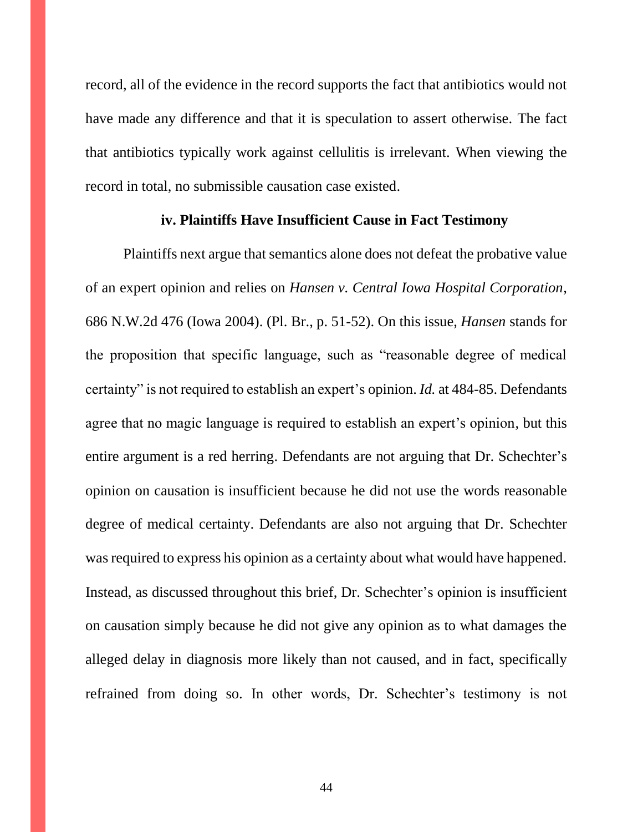record, all of the evidence in the record supports the fact that antibiotics would not have made any difference and that it is speculation to assert otherwise. The fact that antibiotics typically work against cellulitis is irrelevant. When viewing the record in total, no submissible causation case existed.

#### **iv. Plaintiffs Have Insufficient Cause in Fact Testimony**

Plaintiffs next argue that semantics alone does not defeat the probative value of an expert opinion and relies on *Hansen v. Central Iowa Hospital Corporation*, 686 N.W.2d 476 (Iowa 2004). (Pl. Br., p. 51-52). On this issue, *Hansen* stands for the proposition that specific language, such as "reasonable degree of medical certainty" is not required to establish an expert's opinion. *Id.* at 484-85. Defendants agree that no magic language is required to establish an expert's opinion, but this entire argument is a red herring. Defendants are not arguing that Dr. Schechter's opinion on causation is insufficient because he did not use the words reasonable degree of medical certainty. Defendants are also not arguing that Dr. Schechter was required to express his opinion as a certainty about what would have happened. Instead, as discussed throughout this brief, Dr. Schechter's opinion is insufficient on causation simply because he did not give any opinion as to what damages the alleged delay in diagnosis more likely than not caused, and in fact, specifically refrained from doing so. In other words, Dr. Schechter's testimony is not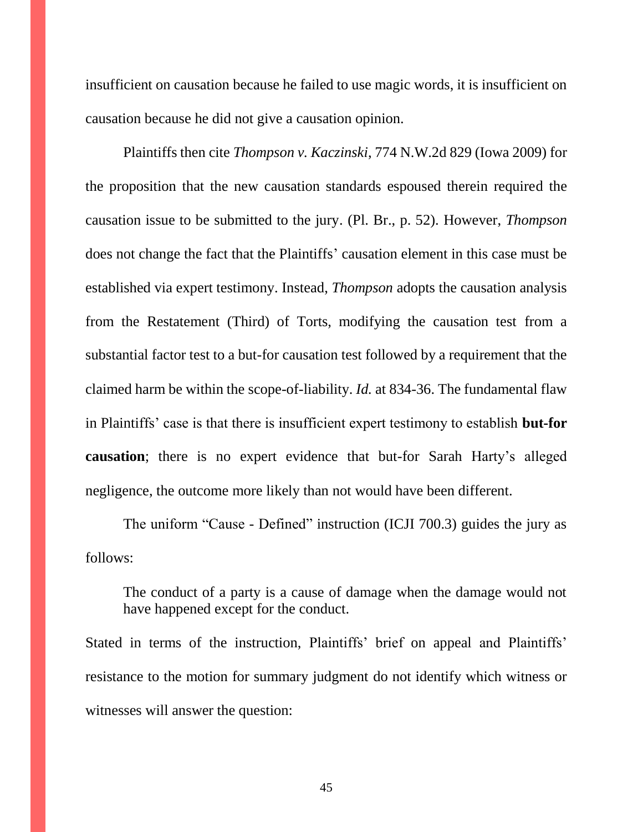insufficient on causation because he failed to use magic words, it is insufficient on causation because he did not give a causation opinion.

Plaintiffs then cite *Thompson v. Kaczinski*, 774 N.W.2d 829 (Iowa 2009) for the proposition that the new causation standards espoused therein required the causation issue to be submitted to the jury. (Pl. Br., p. 52). However, *Thompson*  does not change the fact that the Plaintiffs' causation element in this case must be established via expert testimony. Instead, *Thompson* adopts the causation analysis from the Restatement (Third) of Torts, modifying the causation test from a substantial factor test to a but-for causation test followed by a requirement that the claimed harm be within the scope-of-liability. *Id.* at 834-36. The fundamental flaw in Plaintiffs' case is that there is insufficient expert testimony to establish **but-for causation**; there is no expert evidence that but-for Sarah Harty's alleged negligence, the outcome more likely than not would have been different.

The uniform "Cause - Defined" instruction (ICJI 700.3) guides the jury as follows:

The conduct of a party is a cause of damage when the damage would not have happened except for the conduct.

Stated in terms of the instruction, Plaintiffs' brief on appeal and Plaintiffs' resistance to the motion for summary judgment do not identify which witness or witnesses will answer the question:

45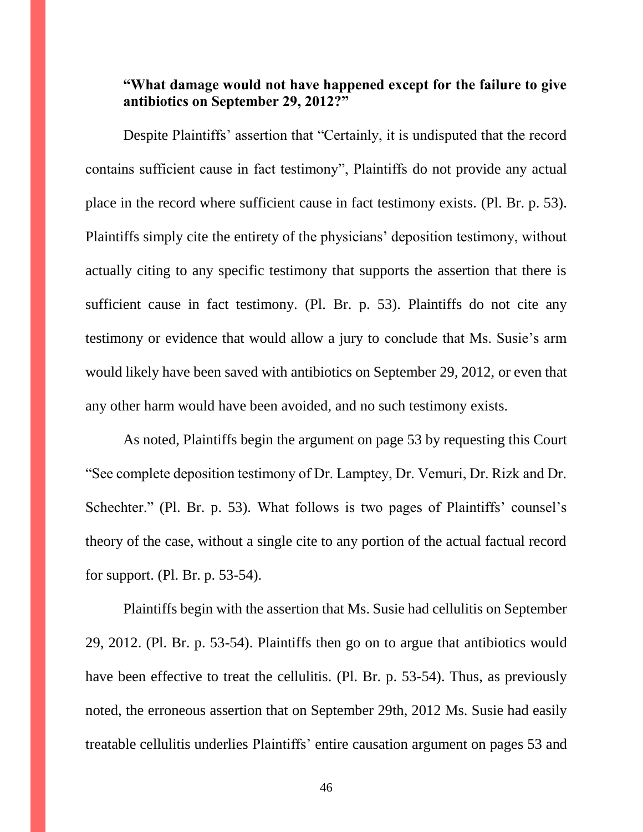## **"What damage would not have happened except for the failure to give antibiotics on September 29, 2012?"**

Despite Plaintiffs' assertion that "Certainly, it is undisputed that the record contains sufficient cause in fact testimony", Plaintiffs do not provide any actual place in the record where sufficient cause in fact testimony exists. (Pl. Br. p. 53). Plaintiffs simply cite the entirety of the physicians' deposition testimony, without actually citing to any specific testimony that supports the assertion that there is sufficient cause in fact testimony. (Pl. Br. p. 53). Plaintiffs do not cite any testimony or evidence that would allow a jury to conclude that Ms. Susie's arm would likely have been saved with antibiotics on September 29, 2012, or even that any other harm would have been avoided, and no such testimony exists.

As noted, Plaintiffs begin the argument on page 53 by requesting this Court "See complete deposition testimony of Dr. Lamptey, Dr. Vemuri, Dr. Rizk and Dr. Schechter." (Pl. Br. p. 53). What follows is two pages of Plaintiffs' counsel's theory of the case, without a single cite to any portion of the actual factual record for support. (Pl. Br. p. 53-54).

Plaintiffs begin with the assertion that Ms. Susie had cellulitis on September 29, 2012. (Pl. Br. p. 53-54). Plaintiffs then go on to argue that antibiotics would have been effective to treat the cellulitis. (Pl. Br. p. 53-54). Thus, as previously noted, the erroneous assertion that on September 29th, 2012 Ms. Susie had easily treatable cellulitis underlies Plaintiffs' entire causation argument on pages 53 and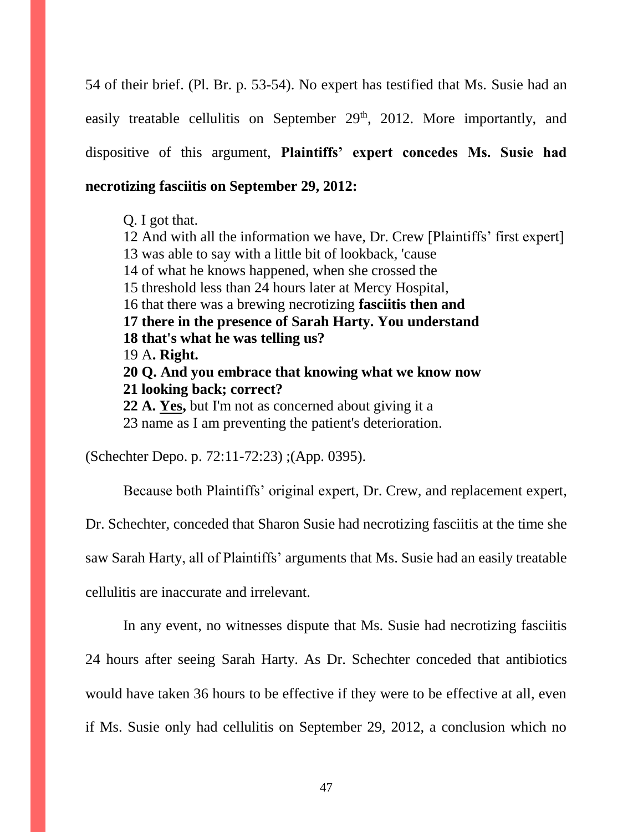54 of their brief. (Pl. Br. p. 53-54). No expert has testified that Ms. Susie had an easily treatable cellulitis on September  $29<sup>th</sup>$ , 2012. More importantly, and dispositive of this argument, **Plaintiffs' expert concedes Ms. Susie had necrotizing fasciitis on September 29, 2012:**

Q. I got that.

12 And with all the information we have, Dr. Crew [Plaintiffs' first expert] 13 was able to say with a little bit of lookback, 'cause 14 of what he knows happened, when she crossed the 15 threshold less than 24 hours later at Mercy Hospital, 16 that there was a brewing necrotizing **fasciitis then and 17 there in the presence of Sarah Harty. You understand 18 that's what he was telling us?** 19 A**. Right. 20 Q. And you embrace that knowing what we know now 21 looking back; correct? 22 A. Yes,** but I'm not as concerned about giving it a

23 name as I am preventing the patient's deterioration.

(Schechter Depo. p. 72:11-72:23) ;(App. 0395).

Because both Plaintiffs' original expert, Dr. Crew, and replacement expert,

Dr. Schechter, conceded that Sharon Susie had necrotizing fasciitis at the time she

saw Sarah Harty, all of Plaintiffs' arguments that Ms. Susie had an easily treatable

cellulitis are inaccurate and irrelevant.

In any event, no witnesses dispute that Ms. Susie had necrotizing fasciitis

24 hours after seeing Sarah Harty. As Dr. Schechter conceded that antibiotics

would have taken 36 hours to be effective if they were to be effective at all, even

if Ms. Susie only had cellulitis on September 29, 2012, a conclusion which no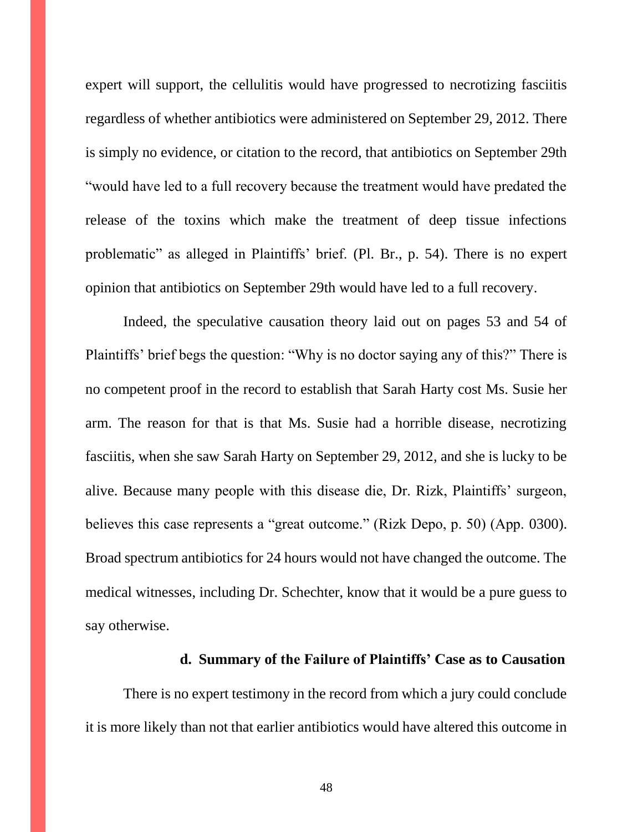expert will support, the cellulitis would have progressed to necrotizing fasciitis regardless of whether antibiotics were administered on September 29, 2012. There is simply no evidence, or citation to the record, that antibiotics on September 29th "would have led to a full recovery because the treatment would have predated the release of the toxins which make the treatment of deep tissue infections problematic" as alleged in Plaintiffs' brief. (Pl. Br., p. 54). There is no expert opinion that antibiotics on September 29th would have led to a full recovery.

Indeed, the speculative causation theory laid out on pages 53 and 54 of Plaintiffs' brief begs the question: "Why is no doctor saying any of this?" There is no competent proof in the record to establish that Sarah Harty cost Ms. Susie her arm. The reason for that is that Ms. Susie had a horrible disease, necrotizing fasciitis, when she saw Sarah Harty on September 29, 2012, and she is lucky to be alive. Because many people with this disease die, Dr. Rizk, Plaintiffs' surgeon, believes this case represents a "great outcome." (Rizk Depo, p. 50) (App. 0300). Broad spectrum antibiotics for 24 hours would not have changed the outcome. The medical witnesses, including Dr. Schechter, know that it would be a pure guess to say otherwise.

#### **d. Summary of the Failure of Plaintiffs' Case as to Causation**

There is no expert testimony in the record from which a jury could conclude it is more likely than not that earlier antibiotics would have altered this outcome in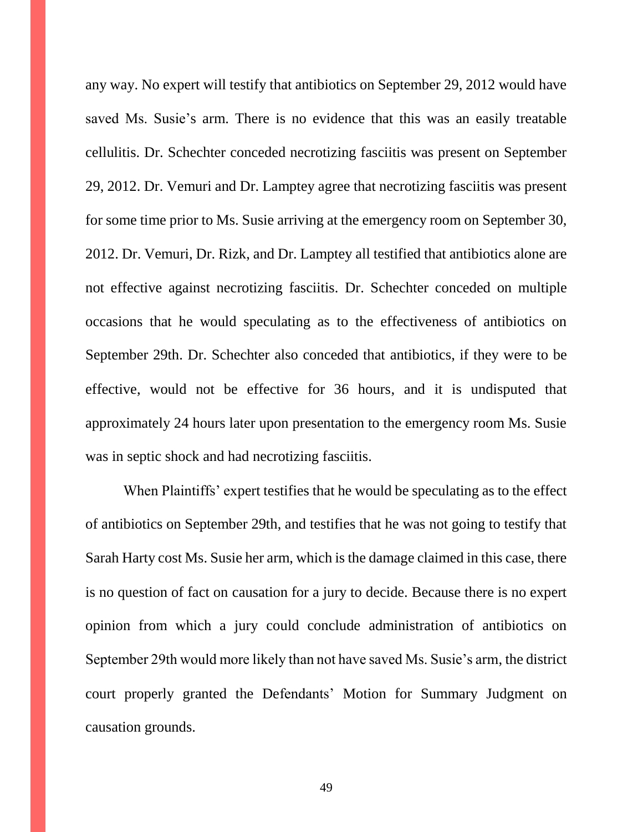any way. No expert will testify that antibiotics on September 29, 2012 would have saved Ms. Susie's arm. There is no evidence that this was an easily treatable cellulitis. Dr. Schechter conceded necrotizing fasciitis was present on September 29, 2012. Dr. Vemuri and Dr. Lamptey agree that necrotizing fasciitis was present for some time prior to Ms. Susie arriving at the emergency room on September 30, 2012. Dr. Vemuri, Dr. Rizk, and Dr. Lamptey all testified that antibiotics alone are not effective against necrotizing fasciitis. Dr. Schechter conceded on multiple occasions that he would speculating as to the effectiveness of antibiotics on September 29th. Dr. Schechter also conceded that antibiotics, if they were to be effective, would not be effective for 36 hours, and it is undisputed that approximately 24 hours later upon presentation to the emergency room Ms. Susie was in septic shock and had necrotizing fasciitis.

When Plaintiffs' expert testifies that he would be speculating as to the effect of antibiotics on September 29th, and testifies that he was not going to testify that Sarah Harty cost Ms. Susie her arm, which is the damage claimed in this case, there is no question of fact on causation for a jury to decide. Because there is no expert opinion from which a jury could conclude administration of antibiotics on September 29th would more likely than not have saved Ms. Susie's arm, the district court properly granted the Defendants' Motion for Summary Judgment on causation grounds.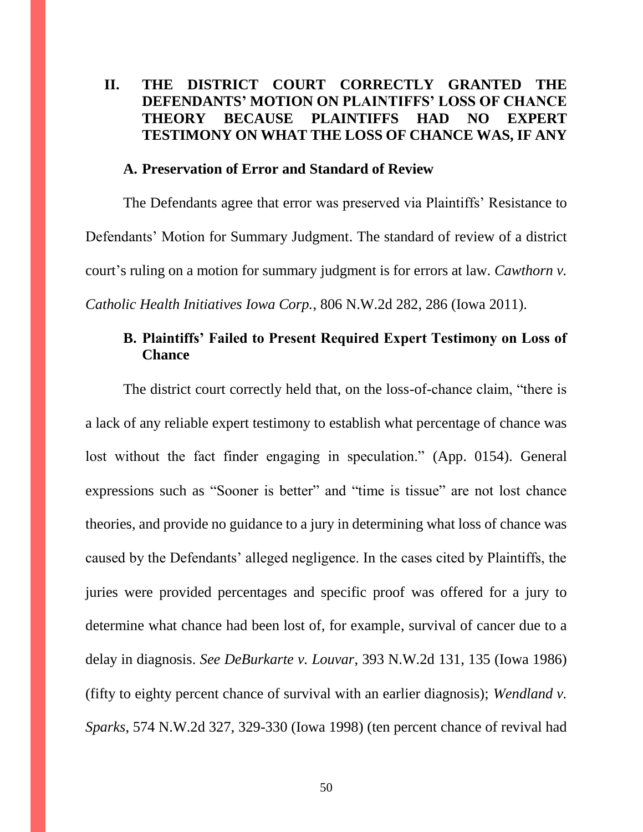## **II. THE DISTRICT COURT CORRECTLY GRANTED THE DEFENDANTS' MOTION ON PLAINTIFFS' LOSS OF CHANCE THEORY BECAUSE PLAINTIFFS HAD NO EXPERT TESTIMONY ON WHAT THE LOSS OF CHANCE WAS, IF ANY**

#### **A. Preservation of Error and Standard of Review**

The Defendants agree that error was preserved via Plaintiffs' Resistance to Defendants' Motion for Summary Judgment. The standard of review of a district court's ruling on a motion for summary judgment is for errors at law. *Cawthorn v. Catholic Health Initiatives Iowa Corp.*, 806 N.W.2d 282, 286 (Iowa 2011).

## **B. Plaintiffs' Failed to Present Required Expert Testimony on Loss of Chance**

The district court correctly held that, on the loss-of-chance claim, "there is a lack of any reliable expert testimony to establish what percentage of chance was lost without the fact finder engaging in speculation." (App. 0154). General expressions such as "Sooner is better" and "time is tissue" are not lost chance theories, and provide no guidance to a jury in determining what loss of chance was caused by the Defendants' alleged negligence. In the cases cited by Plaintiffs, the juries were provided percentages and specific proof was offered for a jury to determine what chance had been lost of, for example, survival of cancer due to a delay in diagnosis. *See DeBurkarte v. Louvar*, 393 N.W.2d 131, 135 (Iowa 1986) (fifty to eighty percent chance of survival with an earlier diagnosis); *Wendland v. Sparks*, 574 N.W.2d 327, 329-330 (Iowa 1998) (ten percent chance of revival had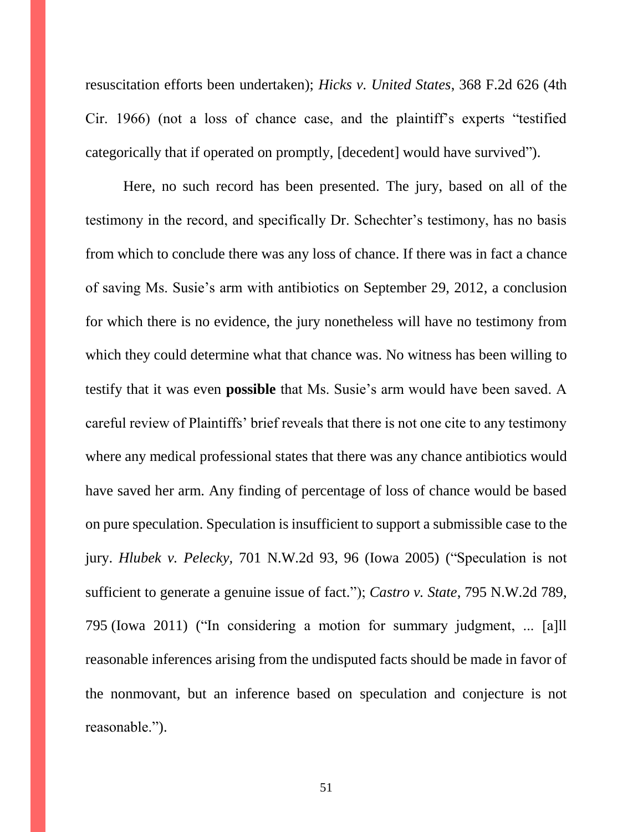resuscitation efforts been undertaken); *Hicks v. United States*, 368 F.2d 626 (4th Cir. 1966) (not a loss of chance case, and the plaintiff's experts "testified categorically that if operated on promptly, [decedent] would have survived").

Here, no such record has been presented. The jury, based on all of the testimony in the record, and specifically Dr. Schechter's testimony, has no basis from which to conclude there was any loss of chance. If there was in fact a chance of saving Ms. Susie's arm with antibiotics on September 29, 2012, a conclusion for which there is no evidence, the jury nonetheless will have no testimony from which they could determine what that chance was. No witness has been willing to testify that it was even **possible** that Ms. Susie's arm would have been saved. A careful review of Plaintiffs' brief reveals that there is not one cite to any testimony where any medical professional states that there was any chance antibiotics would have saved her arm. Any finding of percentage of loss of chance would be based on pure speculation. Speculation is insufficient to support a submissible case to the jury. *Hlubek v. Pelecky,* 701 N.W.2d 93, 96 (Iowa 2005) ("Speculation is not sufficient to generate a genuine issue of fact."); *Castro v. State*, 795 N.W.2d 789, 795 (Iowa 2011) ("In considering a motion for summary judgment, ... [a]ll reasonable inferences arising from the undisputed facts should be made in favor of the nonmovant, but an inference based on speculation and conjecture is not reasonable.").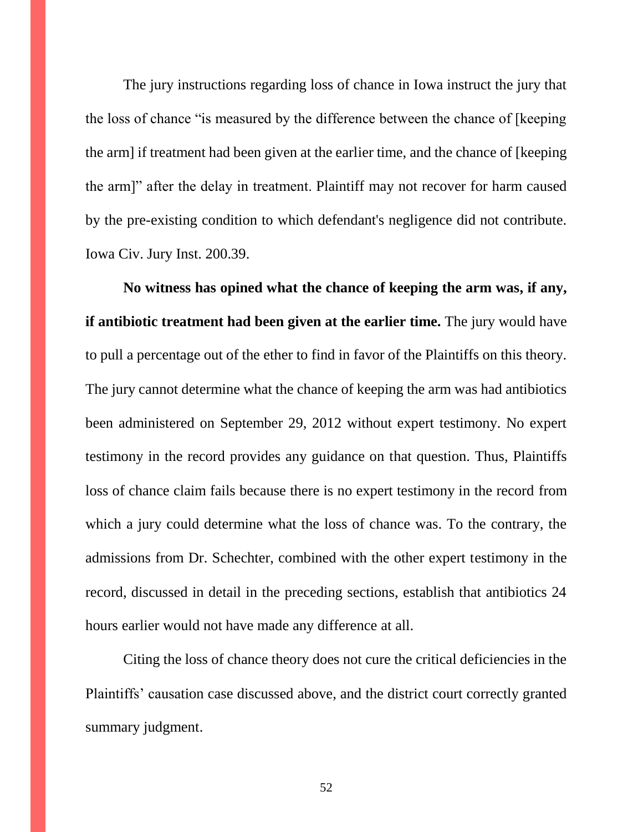The jury instructions regarding loss of chance in Iowa instruct the jury that the loss of chance "is measured by the difference between the chance of [keeping the arm] if treatment had been given at the earlier time, and the chance of [keeping the arm]" after the delay in treatment. Plaintiff may not recover for harm caused by the pre-existing condition to which defendant's negligence did not contribute. Iowa Civ. Jury Inst. 200.39.

**No witness has opined what the chance of keeping the arm was, if any, if antibiotic treatment had been given at the earlier time.** The jury would have to pull a percentage out of the ether to find in favor of the Plaintiffs on this theory. The jury cannot determine what the chance of keeping the arm was had antibiotics been administered on September 29, 2012 without expert testimony. No expert testimony in the record provides any guidance on that question. Thus, Plaintiffs loss of chance claim fails because there is no expert testimony in the record from which a jury could determine what the loss of chance was. To the contrary, the admissions from Dr. Schechter, combined with the other expert testimony in the record, discussed in detail in the preceding sections, establish that antibiotics 24 hours earlier would not have made any difference at all.

Citing the loss of chance theory does not cure the critical deficiencies in the Plaintiffs' causation case discussed above, and the district court correctly granted summary judgment.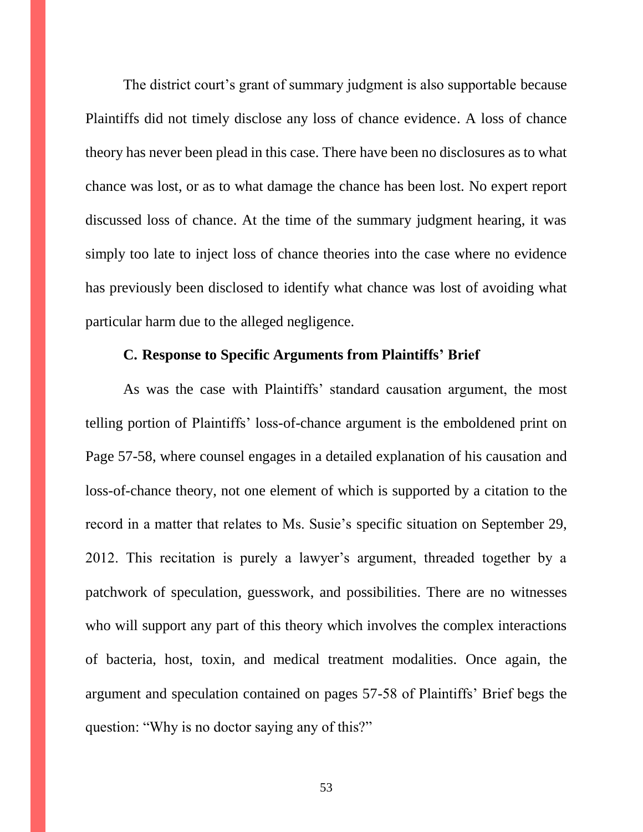The district court's grant of summary judgment is also supportable because Plaintiffs did not timely disclose any loss of chance evidence. A loss of chance theory has never been plead in this case. There have been no disclosures as to what chance was lost, or as to what damage the chance has been lost. No expert report discussed loss of chance. At the time of the summary judgment hearing, it was simply too late to inject loss of chance theories into the case where no evidence has previously been disclosed to identify what chance was lost of avoiding what particular harm due to the alleged negligence.

#### **C. Response to Specific Arguments from Plaintiffs' Brief**

As was the case with Plaintiffs' standard causation argument, the most telling portion of Plaintiffs' loss-of-chance argument is the emboldened print on Page 57-58, where counsel engages in a detailed explanation of his causation and loss-of-chance theory, not one element of which is supported by a citation to the record in a matter that relates to Ms. Susie's specific situation on September 29, 2012. This recitation is purely a lawyer's argument, threaded together by a patchwork of speculation, guesswork, and possibilities. There are no witnesses who will support any part of this theory which involves the complex interactions of bacteria, host, toxin, and medical treatment modalities. Once again, the argument and speculation contained on pages 57-58 of Plaintiffs' Brief begs the question: "Why is no doctor saying any of this?"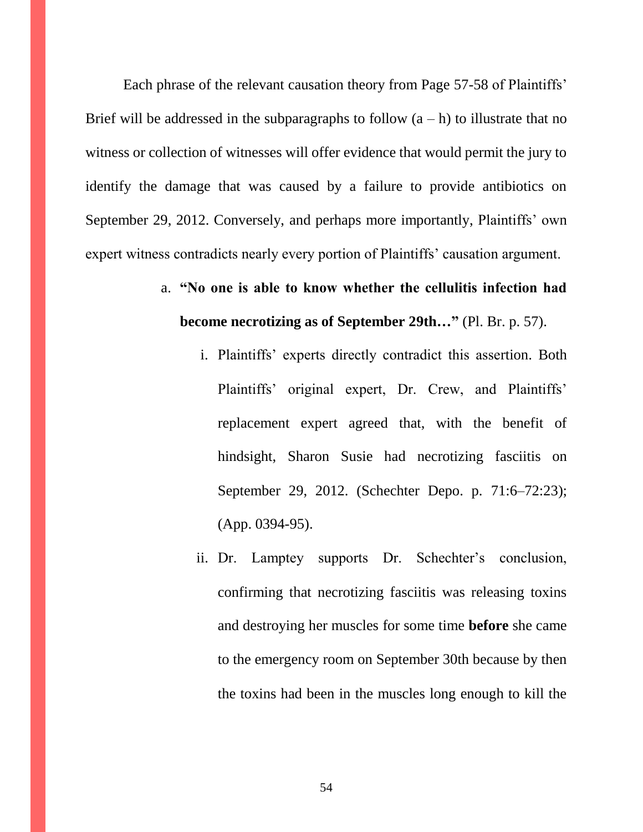Each phrase of the relevant causation theory from Page 57-58 of Plaintiffs' Brief will be addressed in the subparagraphs to follow  $(a - h)$  to illustrate that no witness or collection of witnesses will offer evidence that would permit the jury to identify the damage that was caused by a failure to provide antibiotics on September 29, 2012. Conversely, and perhaps more importantly, Plaintiffs' own expert witness contradicts nearly every portion of Plaintiffs' causation argument.

- a. **"No one is able to know whether the cellulitis infection had become necrotizing as of September 29th…"** (Pl. Br. p. 57).
	- i. Plaintiffs' experts directly contradict this assertion. Both Plaintiffs' original expert, Dr. Crew, and Plaintiffs' replacement expert agreed that, with the benefit of hindsight, Sharon Susie had necrotizing fasciitis on September 29, 2012. (Schechter Depo. p. 71:6–72:23); (App. 0394-95).
	- ii. Dr. Lamptey supports Dr. Schechter's conclusion, confirming that necrotizing fasciitis was releasing toxins and destroying her muscles for some time **before** she came to the emergency room on September 30th because by then the toxins had been in the muscles long enough to kill the

54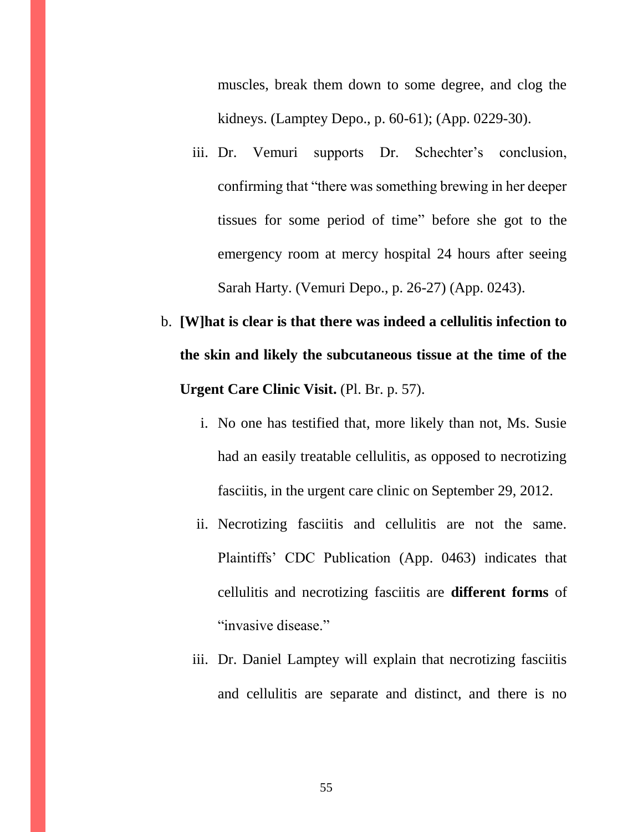muscles, break them down to some degree, and clog the kidneys. (Lamptey Depo., p. 60-61); (App. 0229-30).

- iii. Dr. Vemuri supports Dr. Schechter's conclusion, confirming that "there was something brewing in her deeper tissues for some period of time" before she got to the emergency room at mercy hospital 24 hours after seeing Sarah Harty. (Vemuri Depo., p. 26-27) (App. 0243).
- b. **[W]hat is clear is that there was indeed a cellulitis infection to the skin and likely the subcutaneous tissue at the time of the Urgent Care Clinic Visit.** (Pl. Br. p. 57).
	- i. No one has testified that, more likely than not, Ms. Susie had an easily treatable cellulitis, as opposed to necrotizing fasciitis, in the urgent care clinic on September 29, 2012.
	- ii. Necrotizing fasciitis and cellulitis are not the same. Plaintiffs' CDC Publication (App. 0463) indicates that cellulitis and necrotizing fasciitis are **different forms** of "invasive disease."
	- iii. Dr. Daniel Lamptey will explain that necrotizing fasciitis and cellulitis are separate and distinct, and there is no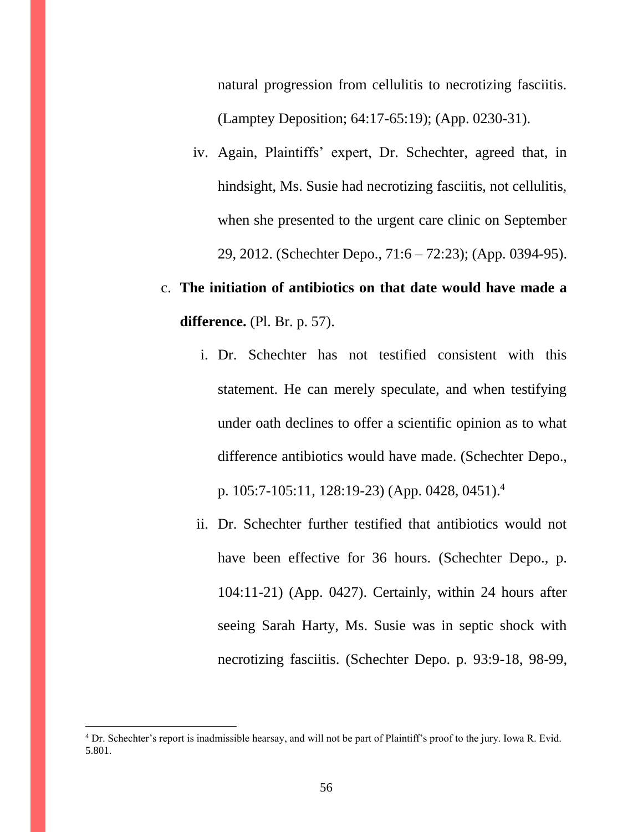natural progression from cellulitis to necrotizing fasciitis. (Lamptey Deposition; 64:17-65:19); (App. 0230-31).

iv. Again, Plaintiffs' expert, Dr. Schechter, agreed that, in hindsight, Ms. Susie had necrotizing fasciitis, not cellulitis, when she presented to the urgent care clinic on September 29, 2012. (Schechter Depo., 71:6 – 72:23); (App. 0394-95).

# c. **The initiation of antibiotics on that date would have made a difference.** (Pl. Br. p. 57).

- i. Dr. Schechter has not testified consistent with this statement. He can merely speculate, and when testifying under oath declines to offer a scientific opinion as to what difference antibiotics would have made. (Schechter Depo., p. 105:7-105:11, 128:19-23) (App. 0428, 0451).<sup>4</sup>
- ii. Dr. Schechter further testified that antibiotics would not have been effective for 36 hours. (Schechter Depo., p. 104:11-21) (App. 0427). Certainly, within 24 hours after seeing Sarah Harty, Ms. Susie was in septic shock with necrotizing fasciitis. (Schechter Depo. p. 93:9-18, 98-99,

 $\overline{a}$ 

<sup>4</sup> Dr. Schechter's report is inadmissible hearsay, and will not be part of Plaintiff's proof to the jury. Iowa R. Evid. 5.801.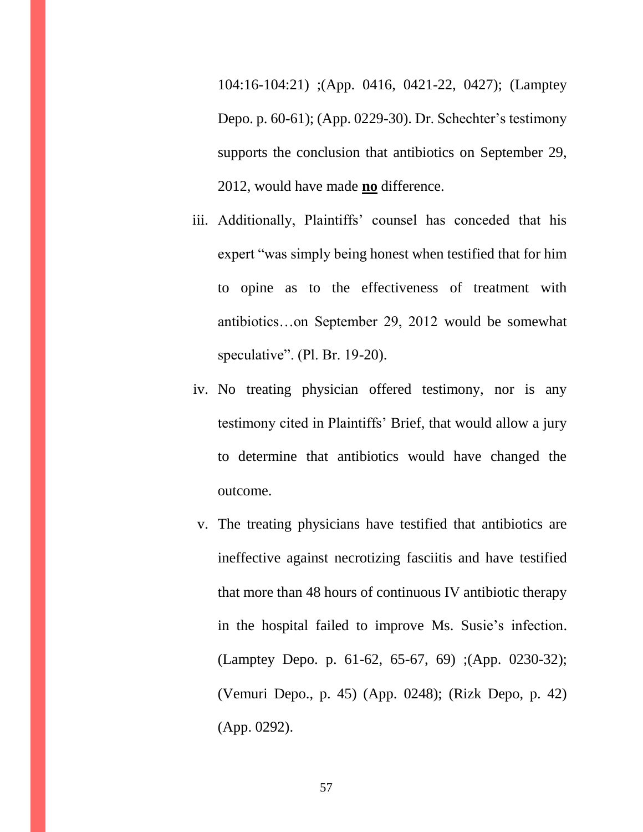104:16-104:21) ;(App. 0416, 0421-22, 0427); (Lamptey Depo. p. 60-61); (App. 0229-30). Dr. Schechter's testimony supports the conclusion that antibiotics on September 29, 2012, would have made **no** difference.

- iii. Additionally, Plaintiffs' counsel has conceded that his expert "was simply being honest when testified that for him to opine as to the effectiveness of treatment with antibiotics…on September 29, 2012 would be somewhat speculative". (Pl. Br. 19-20).
- iv. No treating physician offered testimony, nor is any testimony cited in Plaintiffs' Brief, that would allow a jury to determine that antibiotics would have changed the outcome.
- v. The treating physicians have testified that antibiotics are ineffective against necrotizing fasciitis and have testified that more than 48 hours of continuous IV antibiotic therapy in the hospital failed to improve Ms. Susie's infection. (Lamptey Depo. p. 61-62, 65-67, 69) ;(App. 0230-32); (Vemuri Depo., p. 45) (App. 0248); (Rizk Depo, p. 42) (App. 0292).

57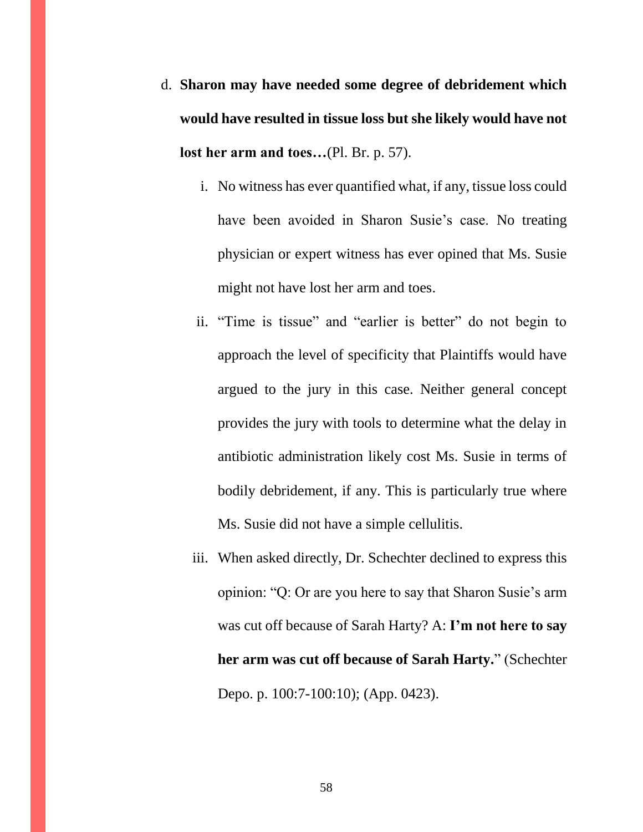- d. **Sharon may have needed some degree of debridement which would have resulted in tissue loss but she likely would have not lost her arm and toes…**(Pl. Br. p. 57).
	- i. No witness has ever quantified what, if any, tissue loss could have been avoided in Sharon Susie's case. No treating physician or expert witness has ever opined that Ms. Susie might not have lost her arm and toes.
	- ii. "Time is tissue" and "earlier is better" do not begin to approach the level of specificity that Plaintiffs would have argued to the jury in this case. Neither general concept provides the jury with tools to determine what the delay in antibiotic administration likely cost Ms. Susie in terms of bodily debridement, if any. This is particularly true where Ms. Susie did not have a simple cellulitis.
	- iii. When asked directly, Dr. Schechter declined to express this opinion: "Q: Or are you here to say that Sharon Susie's arm was cut off because of Sarah Harty? A: **I'm not here to say her arm was cut off because of Sarah Harty.**" (Schechter Depo. p. 100:7-100:10); (App. 0423).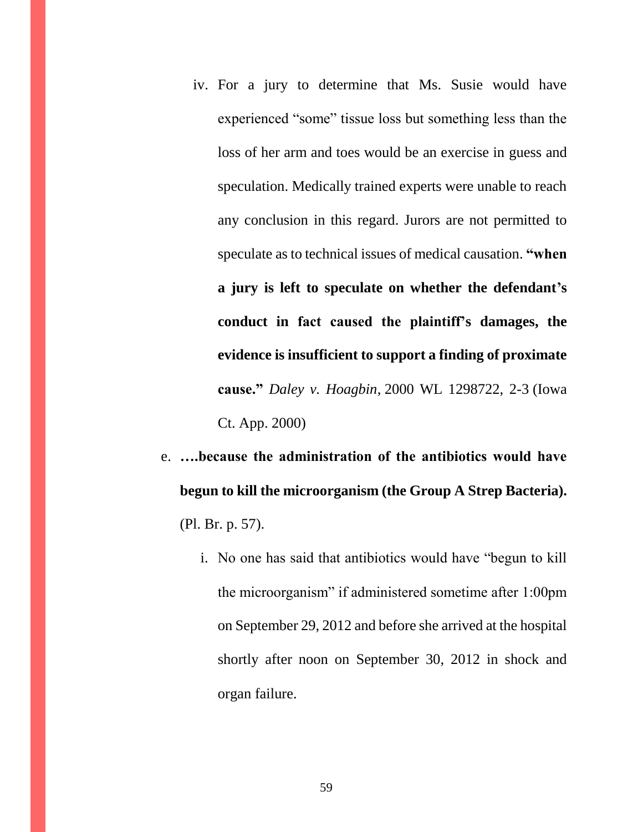- iv. For a jury to determine that Ms. Susie would have experienced "some" tissue loss but something less than the loss of her arm and toes would be an exercise in guess and speculation. Medically trained experts were unable to reach any conclusion in this regard. Jurors are not permitted to speculate as to technical issues of medical causation. **"when a jury is left to speculate on whether the defendant's conduct in fact caused the plaintiff's damages, the evidence is insufficient to support a finding of proximate cause."** *Daley v. Hoagbin*, 2000 WL 1298722, 2-3 (Iowa Ct. App. 2000)
- e. **….because the administration of the antibiotics would have begun to kill the microorganism (the Group A Strep Bacteria).** (Pl. Br. p. 57).
	- i. No one has said that antibiotics would have "begun to kill the microorganism" if administered sometime after 1:00pm on September 29, 2012 and before she arrived at the hospital shortly after noon on September 30, 2012 in shock and organ failure.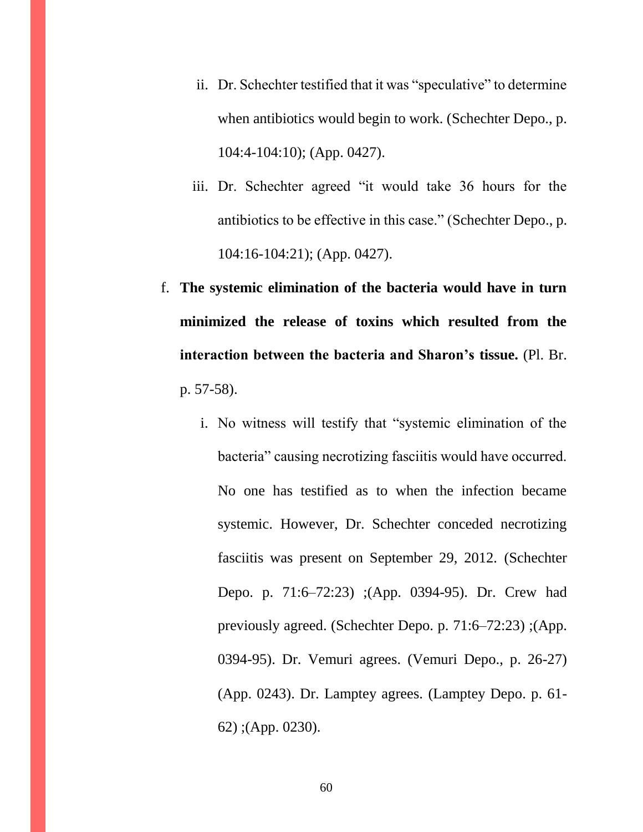- ii. Dr. Schechter testified that it was "speculative" to determine when antibiotics would begin to work. (Schechter Depo., p. 104:4-104:10); (App. 0427).
- iii. Dr. Schechter agreed "it would take 36 hours for the antibiotics to be effective in this case." (Schechter Depo., p. 104:16-104:21); (App. 0427).
- f. **The systemic elimination of the bacteria would have in turn minimized the release of toxins which resulted from the interaction between the bacteria and Sharon's tissue.** (Pl. Br. p. 57-58).
	- i. No witness will testify that "systemic elimination of the bacteria" causing necrotizing fasciitis would have occurred. No one has testified as to when the infection became systemic. However, Dr. Schechter conceded necrotizing fasciitis was present on September 29, 2012. (Schechter Depo. p. 71:6–72:23) ;(App. 0394-95). Dr. Crew had previously agreed. (Schechter Depo. p. 71:6–72:23) ;(App. 0394-95). Dr. Vemuri agrees. (Vemuri Depo., p. 26-27) (App. 0243). Dr. Lamptey agrees. (Lamptey Depo. p. 61- 62) ;(App. 0230).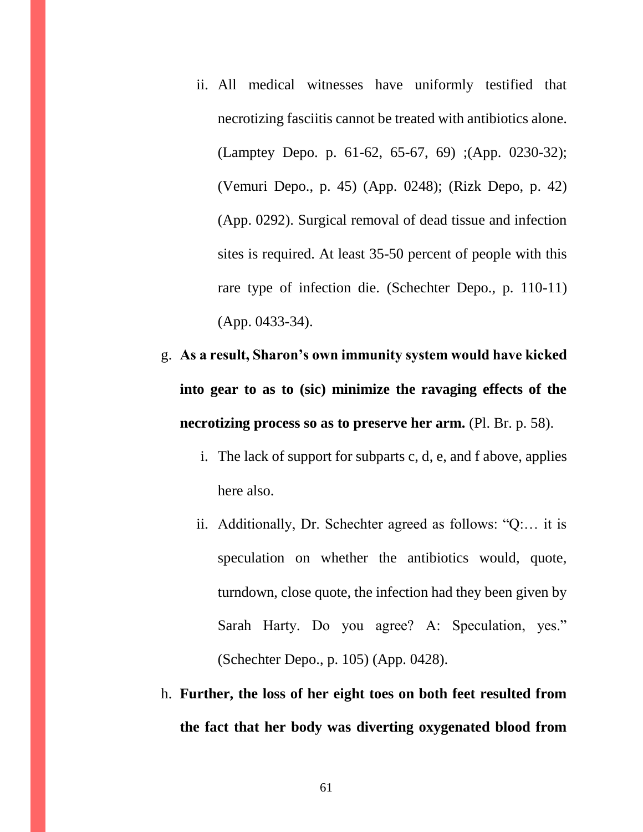- ii. All medical witnesses have uniformly testified that necrotizing fasciitis cannot be treated with antibiotics alone. (Lamptey Depo. p. 61-62, 65-67, 69) ;(App. 0230-32); (Vemuri Depo., p. 45) (App. 0248); (Rizk Depo, p. 42) (App. 0292). Surgical removal of dead tissue and infection sites is required. At least 35-50 percent of people with this rare type of infection die. (Schechter Depo., p. 110-11) (App. 0433-34).
- g. **As a result, Sharon's own immunity system would have kicked into gear to as to (sic) minimize the ravaging effects of the necrotizing process so as to preserve her arm.** (Pl. Br. p. 58).
	- i. The lack of support for subparts c, d, e, and f above, applies here also.
	- ii. Additionally, Dr. Schechter agreed as follows: "Q:… it is speculation on whether the antibiotics would, quote, turndown, close quote, the infection had they been given by Sarah Harty. Do you agree? A: Speculation, yes." (Schechter Depo., p. 105) (App. 0428).
- h. **Further, the loss of her eight toes on both feet resulted from the fact that her body was diverting oxygenated blood from**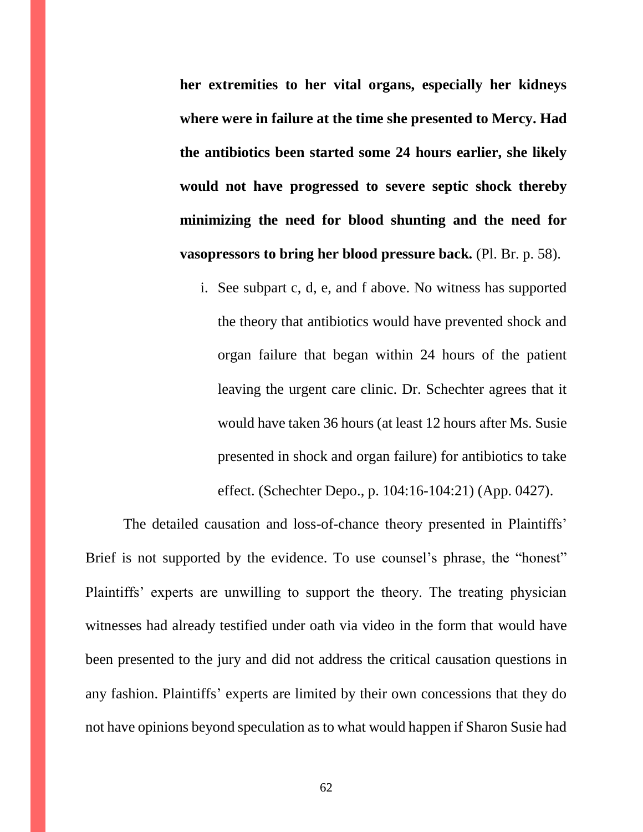**her extremities to her vital organs, especially her kidneys where were in failure at the time she presented to Mercy. Had the antibiotics been started some 24 hours earlier, she likely would not have progressed to severe septic shock thereby minimizing the need for blood shunting and the need for vasopressors to bring her blood pressure back.** (Pl. Br. p. 58).

i. See subpart c, d, e, and f above. No witness has supported the theory that antibiotics would have prevented shock and organ failure that began within 24 hours of the patient leaving the urgent care clinic. Dr. Schechter agrees that it would have taken 36 hours (at least 12 hours after Ms. Susie presented in shock and organ failure) for antibiotics to take effect. (Schechter Depo., p. 104:16-104:21) (App. 0427).

The detailed causation and loss-of-chance theory presented in Plaintiffs' Brief is not supported by the evidence. To use counsel's phrase, the "honest" Plaintiffs' experts are unwilling to support the theory. The treating physician witnesses had already testified under oath via video in the form that would have been presented to the jury and did not address the critical causation questions in any fashion. Plaintiffs' experts are limited by their own concessions that they do not have opinions beyond speculation as to what would happen if Sharon Susie had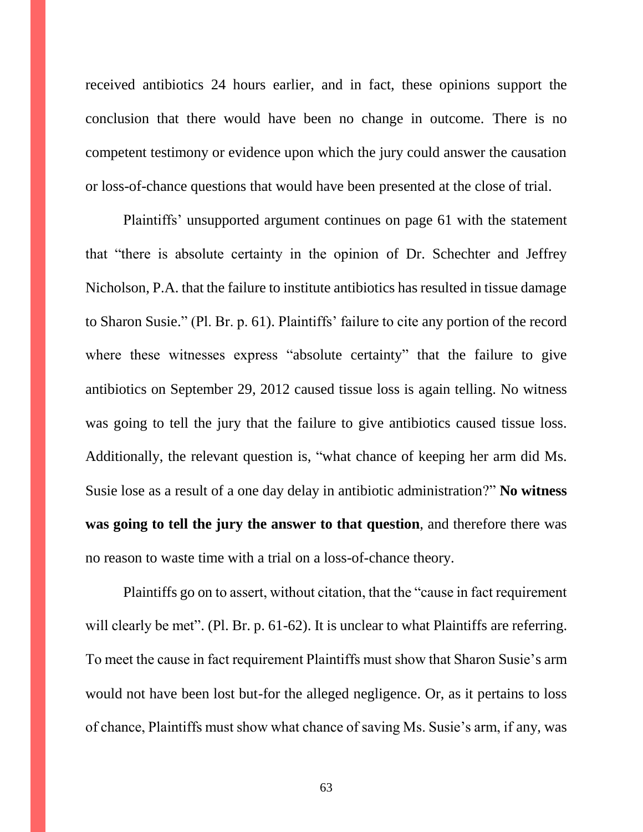received antibiotics 24 hours earlier, and in fact, these opinions support the conclusion that there would have been no change in outcome. There is no competent testimony or evidence upon which the jury could answer the causation or loss-of-chance questions that would have been presented at the close of trial.

Plaintiffs' unsupported argument continues on page 61 with the statement that "there is absolute certainty in the opinion of Dr. Schechter and Jeffrey Nicholson, P.A. that the failure to institute antibiotics has resulted in tissue damage to Sharon Susie." (Pl. Br. p. 61). Plaintiffs' failure to cite any portion of the record where these witnesses express "absolute certainty" that the failure to give antibiotics on September 29, 2012 caused tissue loss is again telling. No witness was going to tell the jury that the failure to give antibiotics caused tissue loss. Additionally, the relevant question is, "what chance of keeping her arm did Ms. Susie lose as a result of a one day delay in antibiotic administration?" **No witness was going to tell the jury the answer to that question**, and therefore there was no reason to waste time with a trial on a loss-of-chance theory.

Plaintiffs go on to assert, without citation, that the "cause in fact requirement will clearly be met". (Pl. Br. p. 61-62). It is unclear to what Plaintiffs are referring. To meet the cause in fact requirement Plaintiffs must show that Sharon Susie's arm would not have been lost but-for the alleged negligence. Or, as it pertains to loss of chance, Plaintiffs must show what chance of saving Ms. Susie's arm, if any, was

63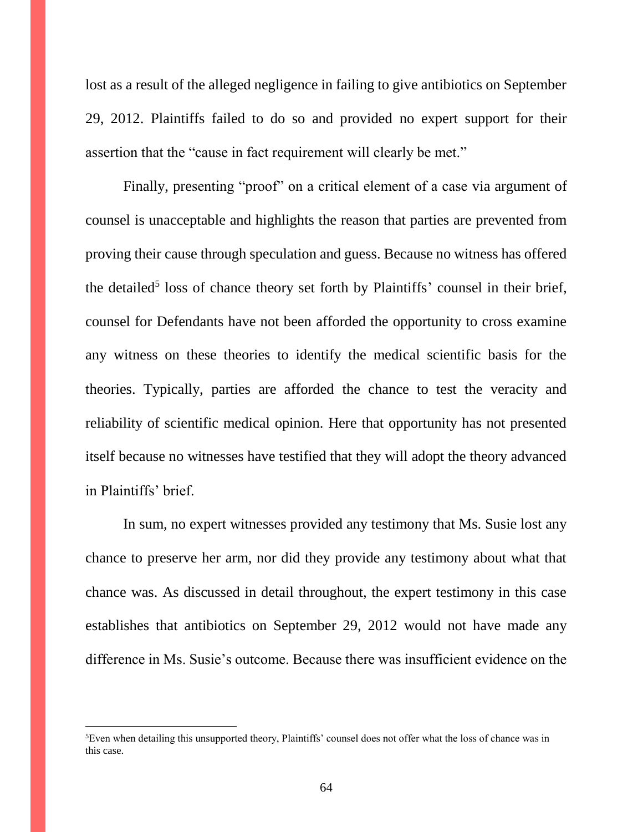lost as a result of the alleged negligence in failing to give antibiotics on September 29, 2012. Plaintiffs failed to do so and provided no expert support for their assertion that the "cause in fact requirement will clearly be met."

Finally, presenting "proof" on a critical element of a case via argument of counsel is unacceptable and highlights the reason that parties are prevented from proving their cause through speculation and guess. Because no witness has offered the detailed<sup>5</sup> loss of chance theory set forth by Plaintiffs' counsel in their brief, counsel for Defendants have not been afforded the opportunity to cross examine any witness on these theories to identify the medical scientific basis for the theories. Typically, parties are afforded the chance to test the veracity and reliability of scientific medical opinion. Here that opportunity has not presented itself because no witnesses have testified that they will adopt the theory advanced in Plaintiffs' brief.

In sum, no expert witnesses provided any testimony that Ms. Susie lost any chance to preserve her arm, nor did they provide any testimony about what that chance was. As discussed in detail throughout, the expert testimony in this case establishes that antibiotics on September 29, 2012 would not have made any difference in Ms. Susie's outcome. Because there was insufficient evidence on the

 $\overline{a}$ 

<sup>5</sup>Even when detailing this unsupported theory, Plaintiffs' counsel does not offer what the loss of chance was in this case.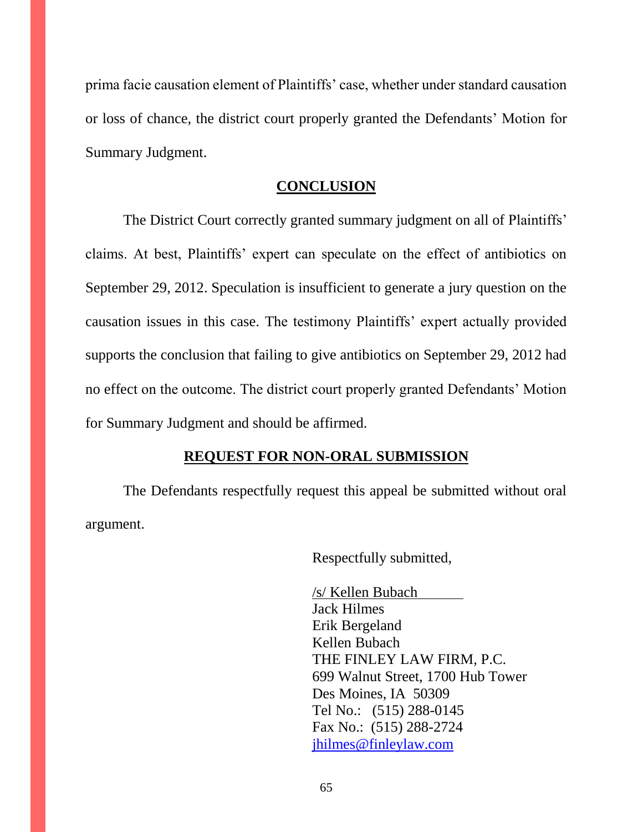prima facie causation element of Plaintiffs' case, whether under standard causation or loss of chance, the district court properly granted the Defendants' Motion for Summary Judgment.

#### **CONCLUSION**

The District Court correctly granted summary judgment on all of Plaintiffs' claims. At best, Plaintiffs' expert can speculate on the effect of antibiotics on September 29, 2012. Speculation is insufficient to generate a jury question on the causation issues in this case. The testimony Plaintiffs' expert actually provided supports the conclusion that failing to give antibiotics on September 29, 2012 had no effect on the outcome. The district court properly granted Defendants' Motion for Summary Judgment and should be affirmed.

#### **REQUEST FOR NON-ORAL SUBMISSION**

The Defendants respectfully request this appeal be submitted without oral argument.

Respectfully submitted,

/s/ Kellen Bubach Jack Hilmes Erik Bergeland Kellen Bubach THE FINLEY LAW FIRM, P.C. 699 Walnut Street, 1700 Hub Tower Des Moines, IA 50309 Tel No.: (515) 288-0145 Fax No.: (515) 288-2724 [jhilmes@finleylaw.com](mailto:jhilmes@finleylaw.com)